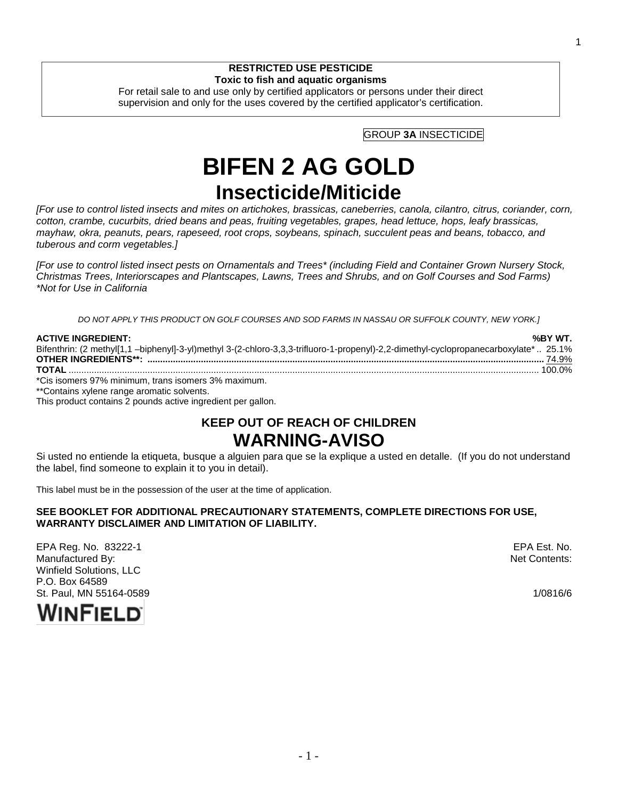#### **RESTRICTED USE PESTICIDE Toxic to fish and aquatic organisms**

For retail sale to and use only by certified applicators or persons under their direct supervision and only for the uses covered by the certified applicator's certification.

GROUP **3A** INSECTICIDE

# **BIFEN 2 AG GOLD Insecticide/Miticide**

*[For use to control listed insects and mites on artichokes, brassicas, caneberries, canola, cilantro, citrus, coriander, corn, cotton, crambe, cucurbits, dried beans and peas, fruiting vegetables, grapes, head lettuce, hops, leafy brassicas, mayhaw, okra, peanuts, pears, rapeseed, root crops, soybeans, spinach, succulent peas and beans, tobacco, and tuberous and corm vegetables.]*

*[For use to control listed insect pests on Ornamentals and Trees\* (including Field and Container Grown Nursery Stock, Christmas Trees, Interiorscapes and Plantscapes, Lawns, Trees and Shrubs, and on Golf Courses and Sod Farms) \*Not for Use in California*

*DO NOT APPLY THIS PRODUCT ON GOLF COURSES AND SOD FARMS IN NASSAU OR SUFFOLK COUNTY, NEW YORK.]*

| <b>ACTIVE INGREDIENT:</b>                                                                                                             | %BY WT. |
|---------------------------------------------------------------------------------------------------------------------------------------|---------|
| Bifenthrin: (2 methyl[1,1 -biphenyl]-3-yl)methyl 3-(2-chloro-3,3,3-trifluoro-1-propenyl)-2,2-dimethyl-cyclopropanecarboxylate*  25.1% |         |
|                                                                                                                                       |         |
|                                                                                                                                       |         |
| *Cis isomers 97% minimum, trans isomers 3% maximum.                                                                                   |         |

\*\*Contains xylene range aromatic solvents.

This product contains 2 pounds active ingredient per gallon.

## **KEEP OUT OF REACH OF CHILDREN WARNING-AVISO**

Si usted no entiende la etiqueta, busque a alguien para que se la explique a usted en detalle. (If you do not understand the label, find someone to explain it to you in detail).

This label must be in the possession of the user at the time of application.

### **SEE BOOKLET FOR ADDITIONAL PRECAUTIONARY STATEMENTS, COMPLETE DIRECTIONS FOR USE, WARRANTY DISCLAIMER AND LIMITATION OF LIABILITY.**

EPA Reg. No. 83222-1 EPA Est. No. Manufactured By: Winfield Solutions, LLC P.O. Box 64589 St. Paul, MN 55164-0589 1/0816/6 WINFIELD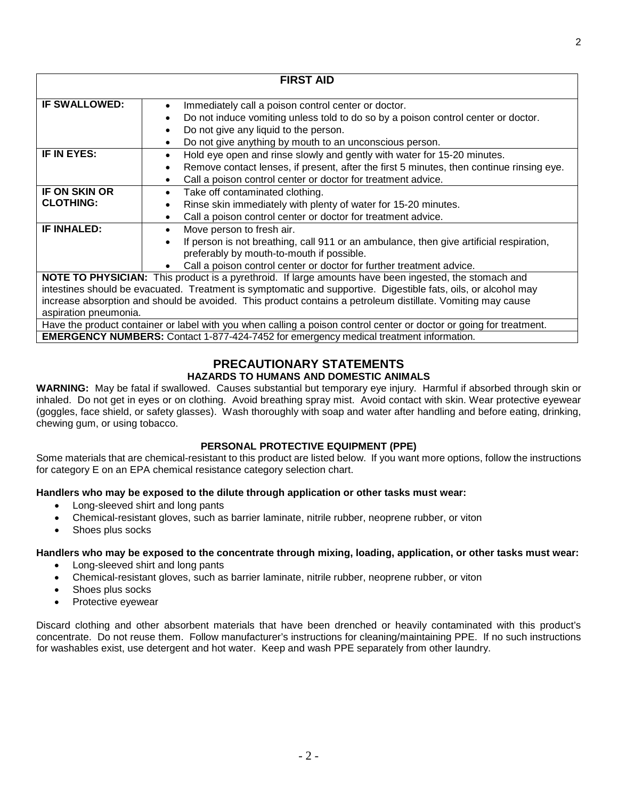|                                   | <b>FIRST AID</b>                                                                                                                                                                                                                                                                                                 |
|-----------------------------------|------------------------------------------------------------------------------------------------------------------------------------------------------------------------------------------------------------------------------------------------------------------------------------------------------------------|
| <b>IF SWALLOWED:</b>              | Immediately call a poison control center or doctor.<br>Do not induce vomiting unless told to do so by a poison control center or doctor.<br>Do not give any liquid to the person.                                                                                                                                |
| IF IN EYES:                       | Do not give anything by mouth to an unconscious person.<br>٠<br>Hold eye open and rinse slowly and gently with water for 15-20 minutes.<br>Remove contact lenses, if present, after the first 5 minutes, then continue rinsing eye.<br>$\bullet$<br>Call a poison control center or doctor for treatment advice. |
| IF ON SKIN OR<br><b>CLOTHING:</b> | Take off contaminated clothing.<br>Rinse skin immediately with plenty of water for 15-20 minutes.<br>Call a poison control center or doctor for treatment advice.                                                                                                                                                |
| <b>IF INHALED:</b>                | Move person to fresh air.<br>If person is not breathing, call 911 or an ambulance, then give artificial respiration,<br>٠<br>preferably by mouth-to-mouth if possible.<br>Call a poison control center or doctor for further treatment advice.                                                                   |

**NOTE TO PHYSICIAN:** This product is a pyrethroid. If large amounts have been ingested, the stomach and intestines should be evacuated. Treatment is symptomatic and supportive. Digestible fats, oils, or alcohol may increase absorption and should be avoided. This product contains a petroleum distillate. Vomiting may cause aspiration pneumonia.

Have the product container or label with you when calling a poison control center or doctor or going for treatment. **EMERGENCY NUMBERS:** Contact 1-877-424-7452 for emergency medical treatment information.

## **PRECAUTIONARY STATEMENTS HAZARDS TO HUMANS AND DOMESTIC ANIMALS**

**WARNING:** May be fatal if swallowed. Causes substantial but temporary eye injury. Harmful if absorbed through skin or inhaled. Do not get in eyes or on clothing. Avoid breathing spray mist. Avoid contact with skin. Wear protective eyewear (goggles, face shield, or safety glasses). Wash thoroughly with soap and water after handling and before eating, drinking, chewing gum, or using tobacco.

## **PERSONAL PROTECTIVE EQUIPMENT (PPE)**

Some materials that are chemical-resistant to this product are listed below. If you want more options, follow the instructions for category E on an EPA chemical resistance category selection chart.

## **Handlers who may be exposed to the dilute through application or other tasks must wear:**

- Long-sleeved shirt and long pants
- Chemical-resistant gloves, such as barrier laminate, nitrile rubber, neoprene rubber, or viton
- Shoes plus socks

## **Handlers who may be exposed to the concentrate through mixing, loading, application, or other tasks must wear:**

- Long-sleeved shirt and long pants
- Chemical-resistant gloves, such as barrier laminate, nitrile rubber, neoprene rubber, or viton
- Shoes plus socks
- Protective eyewear

Discard clothing and other absorbent materials that have been drenched or heavily contaminated with this product's concentrate. Do not reuse them. Follow manufacturer's instructions for cleaning/maintaining PPE. If no such instructions for washables exist, use detergent and hot water. Keep and wash PPE separately from other laundry.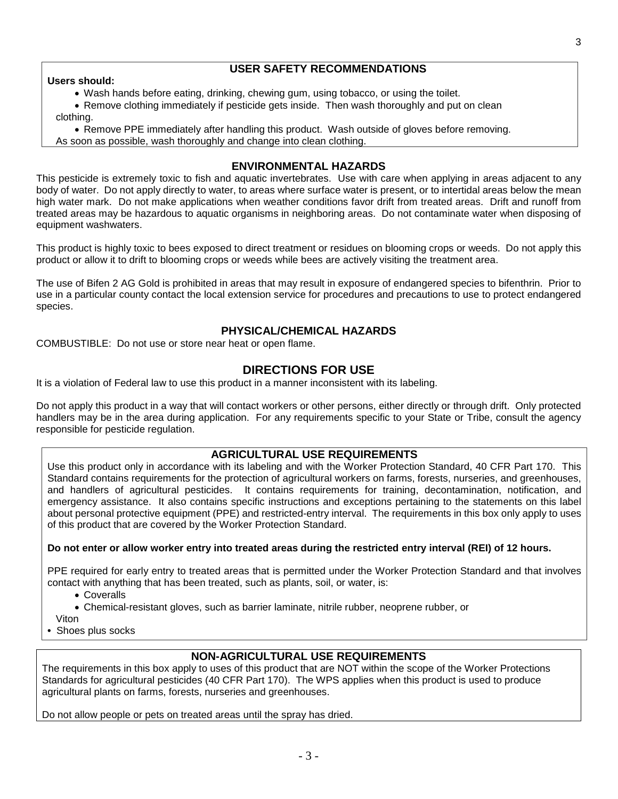## **USER SAFETY RECOMMENDATIONS**

### **Users should:**

• Wash hands before eating, drinking, chewing gum, using tobacco, or using the toilet.

• Remove clothing immediately if pesticide gets inside. Then wash thoroughly and put on clean clothing.

• Remove PPE immediately after handling this product. Wash outside of gloves before removing. As soon as possible, wash thoroughly and change into clean clothing.

## **ENVIRONMENTAL HAZARDS**

This pesticide is extremely toxic to fish and aquatic invertebrates. Use with care when applying in areas adjacent to any body of water. Do not apply directly to water, to areas where surface water is present, or to intertidal areas below the mean high water mark. Do not make applications when weather conditions favor drift from treated areas. Drift and runoff from treated areas may be hazardous to aquatic organisms in neighboring areas. Do not contaminate water when disposing of equipment washwaters.

This product is highly toxic to bees exposed to direct treatment or residues on blooming crops or weeds. Do not apply this product or allow it to drift to blooming crops or weeds while bees are actively visiting the treatment area.

The use of Bifen 2 AG Gold is prohibited in areas that may result in exposure of endangered species to bifenthrin. Prior to use in a particular county contact the local extension service for procedures and precautions to use to protect endangered species.

## **PHYSICAL/CHEMICAL HAZARDS**

COMBUSTIBLE: Do not use or store near heat or open flame.

## **DIRECTIONS FOR USE**

It is a violation of Federal law to use this product in a manner inconsistent with its labeling.

Do not apply this product in a way that will contact workers or other persons, either directly or through drift. Only protected handlers may be in the area during application. For any requirements specific to your State or Tribe, consult the agency responsible for pesticide regulation.

## **AGRICULTURAL USE REQUIREMENTS**

Use this product only in accordance with its labeling and with the Worker Protection Standard, 40 CFR Part 170. This Standard contains requirements for the protection of agricultural workers on farms, forests, nurseries, and greenhouses, and handlers of agricultural pesticides. It contains requirements for training, decontamination, notification, and emergency assistance. It also contains specific instructions and exceptions pertaining to the statements on this label about personal protective equipment (PPE) and restricted-entry interval. The requirements in this box only apply to uses of this product that are covered by the Worker Protection Standard.

## **Do not enter or allow worker entry into treated areas during the restricted entry interval (REI) of 12 hours.**

PPE required for early entry to treated areas that is permitted under the Worker Protection Standard and that involves contact with anything that has been treated, such as plants, soil, or water, is:

- Coveralls
- Chemical-resistant gloves, such as barrier laminate, nitrile rubber, neoprene rubber, or
- Viton
- Shoes plus socks

## **NON-AGRICULTURAL USE REQUIREMENTS**

The requirements in this box apply to uses of this product that are NOT within the scope of the Worker Protections Standards for agricultural pesticides (40 CFR Part 170). The WPS applies when this product is used to produce agricultural plants on farms, forests, nurseries and greenhouses.

Do not allow people or pets on treated areas until the spray has dried.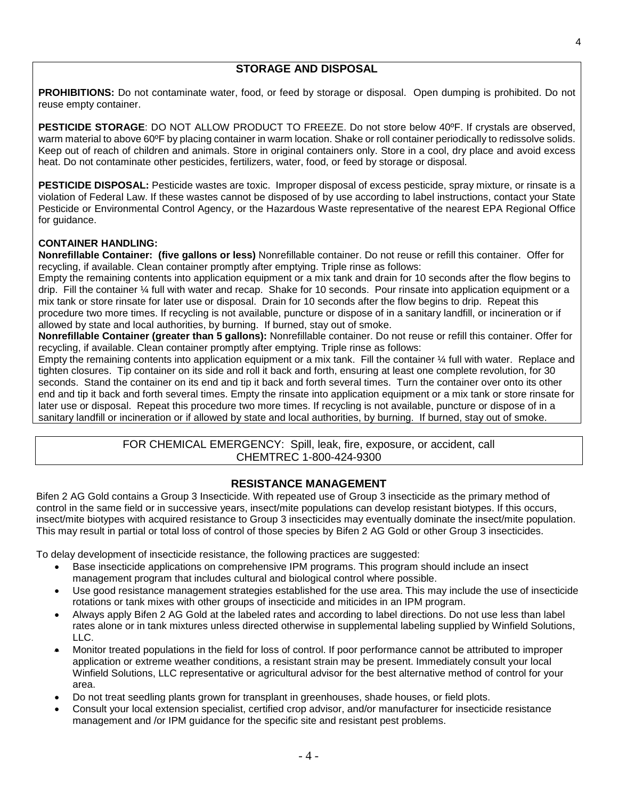## **STORAGE AND DISPOSAL**

**PROHIBITIONS:** Do not contaminate water, food, or feed by storage or disposal. Open dumping is prohibited. Do not reuse empty container.

**PESTICIDE STORAGE**: DO NOT ALLOW PRODUCT TO FREEZE. Do not store below 40ºF. If crystals are observed, warm material to above 60ºF by placing container in warm location. Shake or roll container periodically to redissolve solids. Keep out of reach of children and animals. Store in original containers only. Store in a cool, dry place and avoid excess heat. Do not contaminate other pesticides, fertilizers, water, food, or feed by storage or disposal.

**PESTICIDE DISPOSAL:** Pesticide wastes are toxic. Improper disposal of excess pesticide, spray mixture, or rinsate is a violation of Federal Law. If these wastes cannot be disposed of by use according to label instructions, contact your State Pesticide or Environmental Control Agency, or the Hazardous Waste representative of the nearest EPA Regional Office for guidance.

## **CONTAINER HANDLING:**

**Nonrefillable Container: (five gallons or less)** Nonrefillable container. Do not reuse or refill this container. Offer for recycling, if available. Clean container promptly after emptying. Triple rinse as follows:

Empty the remaining contents into application equipment or a mix tank and drain for 10 seconds after the flow begins to drip. Fill the container ¼ full with water and recap. Shake for 10 seconds. Pour rinsate into application equipment or a mix tank or store rinsate for later use or disposal. Drain for 10 seconds after the flow begins to drip. Repeat this procedure two more times. If recycling is not available, puncture or dispose of in a sanitary landfill, or incineration or if allowed by state and local authorities, by burning. If burned, stay out of smoke.

**Nonrefillable Container (greater than 5 gallons):** Nonrefillable container. Do not reuse or refill this container. Offer for recycling, if available. Clean container promptly after emptying. Triple rinse as follows:

Empty the remaining contents into application equipment or a mix tank. Fill the container ¼ full with water. Replace and tighten closures. Tip container on its side and roll it back and forth, ensuring at least one complete revolution, for 30 seconds. Stand the container on its end and tip it back and forth several times. Turn the container over onto its other end and tip it back and forth several times. Empty the rinsate into application equipment or a mix tank or store rinsate for later use or disposal. Repeat this procedure two more times. If recycling is not available, puncture or dispose of in a sanitary landfill or incineration or if allowed by state and local authorities, by burning. If burned, stay out of smoke.

## FOR CHEMICAL EMERGENCY: Spill, leak, fire, exposure, or accident, call CHEMTREC 1-800-424-9300

## **RESISTANCE MANAGEMENT**

Bifen 2 AG Gold contains a Group 3 Insecticide. With repeated use of Group 3 insecticide as the primary method of control in the same field or in successive years, insect/mite populations can develop resistant biotypes. If this occurs, insect/mite biotypes with acquired resistance to Group 3 insecticides may eventually dominate the insect/mite population. This may result in partial or total loss of control of those species by Bifen 2 AG Gold or other Group 3 insecticides.

To delay development of insecticide resistance, the following practices are suggested:

- Base insecticide applications on comprehensive IPM programs. This program should include an insect management program that includes cultural and biological control where possible.
- Use good resistance management strategies established for the use area. This may include the use of insecticide rotations or tank mixes with other groups of insecticide and miticides in an IPM program.
- Always apply Bifen 2 AG Gold at the labeled rates and according to label directions. Do not use less than label rates alone or in tank mixtures unless directed otherwise in supplemental labeling supplied by Winfield Solutions, LLC.
- Monitor treated populations in the field for loss of control. If poor performance cannot be attributed to improper application or extreme weather conditions, a resistant strain may be present. Immediately consult your local Winfield Solutions, LLC representative or agricultural advisor for the best alternative method of control for your area.
- Do not treat seedling plants grown for transplant in greenhouses, shade houses, or field plots.
- Consult your local extension specialist, certified crop advisor, and/or manufacturer for insecticide resistance management and /or IPM guidance for the specific site and resistant pest problems.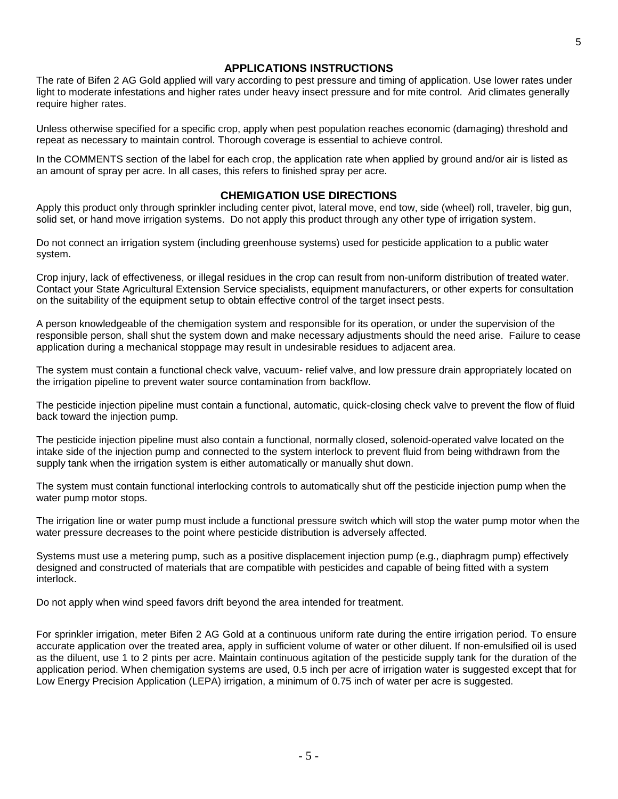## **APPLICATIONS INSTRUCTIONS**

The rate of Bifen 2 AG Gold applied will vary according to pest pressure and timing of application. Use lower rates under light to moderate infestations and higher rates under heavy insect pressure and for mite control. Arid climates generally require higher rates.

Unless otherwise specified for a specific crop, apply when pest population reaches economic (damaging) threshold and repeat as necessary to maintain control. Thorough coverage is essential to achieve control.

In the COMMENTS section of the label for each crop, the application rate when applied by ground and/or air is listed as an amount of spray per acre. In all cases, this refers to finished spray per acre.

## **CHEMIGATION USE DIRECTIONS**

Apply this product only through sprinkler including center pivot, lateral move, end tow, side (wheel) roll, traveler, big gun, solid set, or hand move irrigation systems. Do not apply this product through any other type of irrigation system.

Do not connect an irrigation system (including greenhouse systems) used for pesticide application to a public water system.

Crop injury, lack of effectiveness, or illegal residues in the crop can result from non-uniform distribution of treated water. Contact your State Agricultural Extension Service specialists, equipment manufacturers, or other experts for consultation on the suitability of the equipment setup to obtain effective control of the target insect pests.

A person knowledgeable of the chemigation system and responsible for its operation, or under the supervision of the responsible person, shall shut the system down and make necessary adjustments should the need arise. Failure to cease application during a mechanical stoppage may result in undesirable residues to adjacent area.

The system must contain a functional check valve, vacuum- relief valve, and low pressure drain appropriately located on the irrigation pipeline to prevent water source contamination from backflow.

The pesticide injection pipeline must contain a functional, automatic, quick-closing check valve to prevent the flow of fluid back toward the injection pump.

The pesticide injection pipeline must also contain a functional, normally closed, solenoid-operated valve located on the intake side of the injection pump and connected to the system interlock to prevent fluid from being withdrawn from the supply tank when the irrigation system is either automatically or manually shut down.

The system must contain functional interlocking controls to automatically shut off the pesticide injection pump when the water pump motor stops.

The irrigation line or water pump must include a functional pressure switch which will stop the water pump motor when the water pressure decreases to the point where pesticide distribution is adversely affected.

Systems must use a metering pump, such as a positive displacement injection pump (e.g., diaphragm pump) effectively designed and constructed of materials that are compatible with pesticides and capable of being fitted with a system interlock.

Do not apply when wind speed favors drift beyond the area intended for treatment.

For sprinkler irrigation, meter Bifen 2 AG Gold at a continuous uniform rate during the entire irrigation period. To ensure accurate application over the treated area, apply in sufficient volume of water or other diluent. If non-emulsified oil is used as the diluent, use 1 to 2 pints per acre. Maintain continuous agitation of the pesticide supply tank for the duration of the application period. When chemigation systems are used, 0.5 inch per acre of irrigation water is suggested except that for Low Energy Precision Application (LEPA) irrigation, a minimum of 0.75 inch of water per acre is suggested.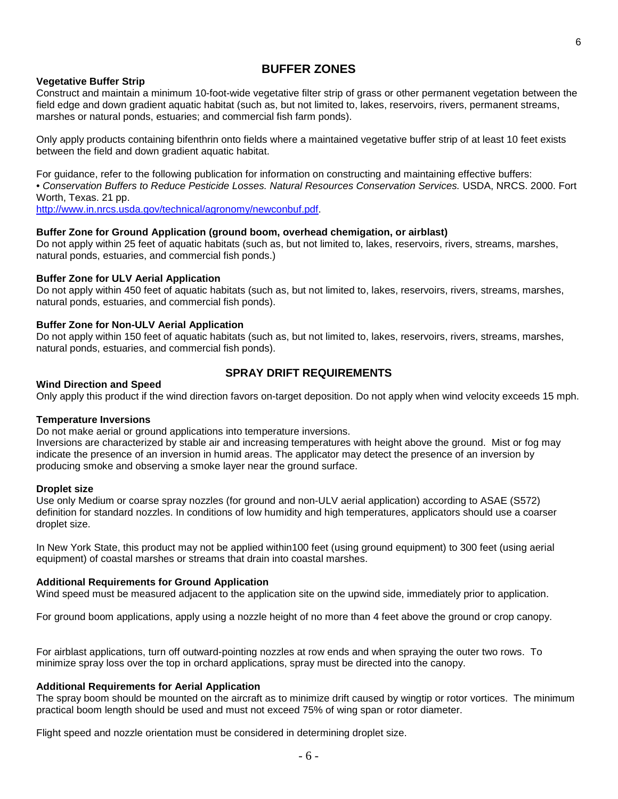## **BUFFER ZONES**

### **Vegetative Buffer Strip**

Construct and maintain a minimum 10-foot-wide vegetative filter strip of grass or other permanent vegetation between the field edge and down gradient aquatic habitat (such as, but not limited to, lakes, reservoirs, rivers, permanent streams, marshes or natural ponds, estuaries; and commercial fish farm ponds).

Only apply products containing bifenthrin onto fields where a maintained vegetative buffer strip of at least 10 feet exists between the field and down gradient aquatic habitat.

For guidance, refer to the following publication for information on constructing and maintaining effective buffers: • *Conservation Buffers to Reduce Pesticide Losses. Natural Resources Conservation Services.* USDA, NRCS. 2000. Fort Worth, Texas. 21 pp.

[http://www.in.nrcs.usda.gov/technical/agronomy/newconbuf.pdf.](http://www.in.nrcs.usda.gov/technical/agronomy/newconbuf.pdf)

#### **Buffer Zone for Ground Application (ground boom, overhead chemigation, or airblast)**

Do not apply within 25 feet of aquatic habitats (such as, but not limited to, lakes, reservoirs, rivers, streams, marshes, natural ponds, estuaries, and commercial fish ponds.)

### **Buffer Zone for ULV Aerial Application**

Do not apply within 450 feet of aquatic habitats (such as, but not limited to, lakes, reservoirs, rivers, streams, marshes, natural ponds, estuaries, and commercial fish ponds).

### **Buffer Zone for Non-ULV Aerial Application**

Do not apply within 150 feet of aquatic habitats (such as, but not limited to, lakes, reservoirs, rivers, streams, marshes, natural ponds, estuaries, and commercial fish ponds).

## **SPRAY DRIFT REQUIREMENTS**

#### **Wind Direction and Speed**

Only apply this product if the wind direction favors on-target deposition. Do not apply when wind velocity exceeds 15 mph.

#### **Temperature Inversions**

Do not make aerial or ground applications into temperature inversions.

Inversions are characterized by stable air and increasing temperatures with height above the ground. Mist or fog may indicate the presence of an inversion in humid areas. The applicator may detect the presence of an inversion by producing smoke and observing a smoke layer near the ground surface.

#### **Droplet size**

Use only Medium or coarse spray nozzles (for ground and non-ULV aerial application) according to ASAE (S572) definition for standard nozzles. In conditions of low humidity and high temperatures, applicators should use a coarser droplet size.

In New York State, this product may not be applied within100 feet (using ground equipment) to 300 feet (using aerial equipment) of coastal marshes or streams that drain into coastal marshes.

#### **Additional Requirements for Ground Application**

Wind speed must be measured adjacent to the application site on the upwind side, immediately prior to application.

For ground boom applications, apply using a nozzle height of no more than 4 feet above the ground or crop canopy.

For airblast applications, turn off outward-pointing nozzles at row ends and when spraying the outer two rows. To minimize spray loss over the top in orchard applications, spray must be directed into the canopy.

#### **Additional Requirements for Aerial Application**

The spray boom should be mounted on the aircraft as to minimize drift caused by wingtip or rotor vortices. The minimum practical boom length should be used and must not exceed 75% of wing span or rotor diameter.

Flight speed and nozzle orientation must be considered in determining droplet size.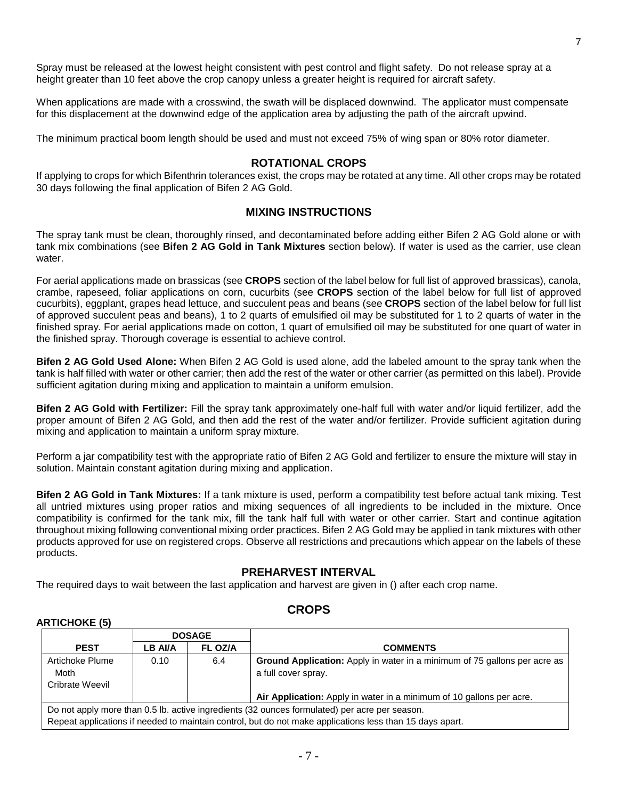height greater than 10 feet above the crop canopy unless a greater height is required for aircraft safety.

Spray must be released at the lowest height consistent with pest control and flight safety. Do not release spray at a

The minimum practical boom length should be used and must not exceed 75% of wing span or 80% rotor diameter.

#### **ROTATIONAL CROPS**

If applying to crops for which Bifenthrin tolerances exist, the crops may be rotated at any time. All other crops may be rotated 30 days following the final application of Bifen 2 AG Gold.

#### **MIXING INSTRUCTIONS**

The spray tank must be clean, thoroughly rinsed, and decontaminated before adding either Bifen 2 AG Gold alone or with tank mix combinations (see **Bifen 2 AG Gold in Tank Mixtures** section below). If water is used as the carrier, use clean water.

For aerial applications made on brassicas (see **CROPS** section of the label below for full list of approved brassicas), canola, crambe, rapeseed, foliar applications on corn, cucurbits (see **CROPS** section of the label below for full list of approved cucurbits), eggplant, grapes head lettuce, and succulent peas and beans (see **CROPS** section of the label below for full list of approved succulent peas and beans), 1 to 2 quarts of emulsified oil may be substituted for 1 to 2 quarts of water in the finished spray. For aerial applications made on cotton, 1 quart of emulsified oil may be substituted for one quart of water in the finished spray. Thorough coverage is essential to achieve control.

**Bifen 2 AG Gold Used Alone:** When Bifen 2 AG Gold is used alone, add the labeled amount to the spray tank when the tank is half filled with water or other carrier; then add the rest of the water or other carrier (as permitted on this label). Provide sufficient agitation during mixing and application to maintain a uniform emulsion.

**Bifen 2 AG Gold with Fertilizer:** Fill the spray tank approximately one-half full with water and/or liquid fertilizer, add the proper amount of Bifen 2 AG Gold, and then add the rest of the water and/or fertilizer. Provide sufficient agitation during mixing and application to maintain a uniform spray mixture.

Perform a jar compatibility test with the appropriate ratio of Bifen 2 AG Gold and fertilizer to ensure the mixture will stay in solution. Maintain constant agitation during mixing and application.

**Bifen 2 AG Gold in Tank Mixtures:** If a tank mixture is used, perform a compatibility test before actual tank mixing. Test all untried mixtures using proper ratios and mixing sequences of all ingredients to be included in the mixture. Once compatibility is confirmed for the tank mix, fill the tank half full with water or other carrier. Start and continue agitation throughout mixing following conventional mixing order practices. Bifen 2 AG Gold may be applied in tank mixtures with other products approved for use on registered crops. Observe all restrictions and precautions which appear on the labels of these products.

### **PREHARVEST INTERVAL**

The required days to wait between the last application and harvest are given in () after each crop name.

## **CROPS**

## **ARTICHOKE (5)**

|                                                                                               | <b>DOSAGE</b>                                                                                            |         |                                                                                  |  |  |  |
|-----------------------------------------------------------------------------------------------|----------------------------------------------------------------------------------------------------------|---------|----------------------------------------------------------------------------------|--|--|--|
| <b>PEST</b>                                                                                   | LB AI/A                                                                                                  | FL OZ/A | <b>COMMENTS</b>                                                                  |  |  |  |
| Artichoke Plume                                                                               | 0.10                                                                                                     | 6.4     | <b>Ground Application:</b> Apply in water in a minimum of 75 gallons per acre as |  |  |  |
| Moth                                                                                          |                                                                                                          |         | a full cover spray.                                                              |  |  |  |
| Cribrate Weevil                                                                               |                                                                                                          |         |                                                                                  |  |  |  |
|                                                                                               |                                                                                                          |         | Air Application: Apply in water in a minimum of 10 gallons per acre.             |  |  |  |
| Do not apply more than 0.5 lb. active ingredients (32 ounces formulated) per acre per season. |                                                                                                          |         |                                                                                  |  |  |  |
|                                                                                               | Repeat applications if needed to maintain control, but do not make applications less than 15 days apart. |         |                                                                                  |  |  |  |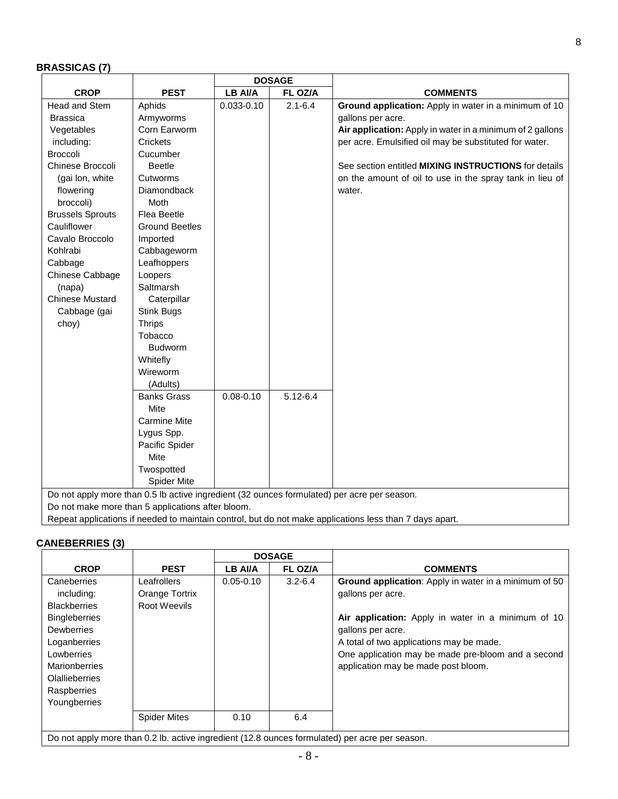### **BRASSICAS (7)**

|                                                   |                       | <b>DOSAGE</b>  |              |                                                                                                         |
|---------------------------------------------------|-----------------------|----------------|--------------|---------------------------------------------------------------------------------------------------------|
| <b>CROP</b>                                       | <b>PEST</b>           | LB AI/A        | FL OZ/A      | <b>COMMENTS</b>                                                                                         |
| Head and Stem                                     | Aphids                | $0.033 - 0.10$ | $2.1 - 6.4$  | Ground application: Apply in water in a minimum of 10                                                   |
| <b>Brassica</b>                                   | Armyworms             |                |              | gallons per acre.                                                                                       |
| Vegetables                                        | Corn Earworm          |                |              | Air application: Apply in water in a minimum of 2 gallons                                               |
| including:                                        | Crickets              |                |              | per acre. Emulsified oil may be substituted for water.                                                  |
| <b>Broccoli</b>                                   | Cucumber              |                |              |                                                                                                         |
| Chinese Broccoli                                  | <b>Beetle</b>         |                |              | See section entitled <b>MIXING INSTRUCTIONS</b> for details                                             |
| (gai lon, white                                   | Cutworms              |                |              | on the amount of oil to use in the spray tank in lieu of                                                |
| flowering                                         | Diamondback           |                |              | water.                                                                                                  |
| broccoli)                                         | Moth                  |                |              |                                                                                                         |
| <b>Brussels Sprouts</b>                           | Flea Beetle           |                |              |                                                                                                         |
| Cauliflower                                       | <b>Ground Beetles</b> |                |              |                                                                                                         |
| Cavalo Broccolo                                   | Imported              |                |              |                                                                                                         |
| Kohlrabi                                          | Cabbageworm           |                |              |                                                                                                         |
| Cabbage                                           | Leafhoppers           |                |              |                                                                                                         |
| Chinese Cabbage                                   | Loopers               |                |              |                                                                                                         |
| (napa)                                            | Saltmarsh             |                |              |                                                                                                         |
| <b>Chinese Mustard</b>                            | Caterpillar           |                |              |                                                                                                         |
| Cabbage (gai                                      | Stink Bugs            |                |              |                                                                                                         |
| choy)                                             | <b>Thrips</b>         |                |              |                                                                                                         |
|                                                   | Tobacco               |                |              |                                                                                                         |
|                                                   | <b>Budworm</b>        |                |              |                                                                                                         |
|                                                   | Whitefly              |                |              |                                                                                                         |
|                                                   | Wireworm              |                |              |                                                                                                         |
|                                                   | (Adults)              |                |              |                                                                                                         |
|                                                   | <b>Banks Grass</b>    | $0.08 - 0.10$  | $5.12 - 6.4$ |                                                                                                         |
|                                                   | <b>Mite</b>           |                |              |                                                                                                         |
|                                                   | <b>Carmine Mite</b>   |                |              |                                                                                                         |
|                                                   | Lygus Spp.            |                |              |                                                                                                         |
|                                                   | Pacific Spider        |                |              |                                                                                                         |
|                                                   | Mite                  |                |              |                                                                                                         |
|                                                   | Twospotted            |                |              |                                                                                                         |
|                                                   | <b>Spider Mite</b>    |                |              |                                                                                                         |
|                                                   |                       |                |              | Do not apply more than 0.5 lb active ingredient (32 ounces formulated) per acre per season.             |
| Do not make more than 5 applications after bloom. |                       |                |              |                                                                                                         |
|                                                   |                       |                |              | Repeat applications if needed to maintain control, but do not make applications less than 7 days apart. |

Repeat applications if needed to maintain control, but do not make applications less than 7 days apart.

## **CANEBERRIES (3)**

|                      |                                                                                                |               | <b>DOSAGE</b>  |                                                              |  |  |  |
|----------------------|------------------------------------------------------------------------------------------------|---------------|----------------|--------------------------------------------------------------|--|--|--|
| <b>CROP</b>          | <b>PEST</b>                                                                                    | LB AVA        | <b>FL OZ/A</b> | <b>COMMENTS</b>                                              |  |  |  |
| Caneberries          | Leafrollers                                                                                    | $0.05 - 0.10$ | $3.2 - 6.4$    | <b>Ground application:</b> Apply in water in a minimum of 50 |  |  |  |
| including:           | Orange Tortrix                                                                                 |               |                | gallons per acre.                                            |  |  |  |
| <b>Blackberries</b>  | Root Weevils                                                                                   |               |                |                                                              |  |  |  |
| <b>Bingleberries</b> |                                                                                                |               |                | Air application: Apply in water in a minimum of 10           |  |  |  |
| <b>Dewberries</b>    |                                                                                                |               |                | gallons per acre.                                            |  |  |  |
| Loganberries         |                                                                                                |               |                | A total of two applications may be made.                     |  |  |  |
| Lowberries           |                                                                                                |               |                | One application may be made pre-bloom and a second           |  |  |  |
| <b>Marionberries</b> |                                                                                                |               |                | application may be made post bloom.                          |  |  |  |
| Olallieberries       |                                                                                                |               |                |                                                              |  |  |  |
| Raspberries          |                                                                                                |               |                |                                                              |  |  |  |
| Youngberries         |                                                                                                |               |                |                                                              |  |  |  |
|                      | <b>Spider Mites</b>                                                                            | 0.10          | 6.4            |                                                              |  |  |  |
|                      | Do not apply more than 0.2 lb. active ingredient (12.8 ounces formulated) per acre per season. |               |                |                                                              |  |  |  |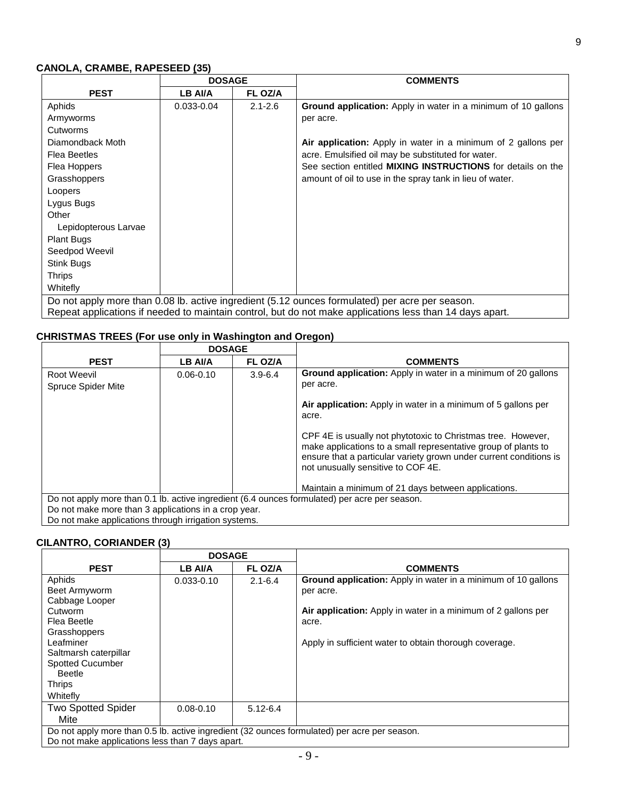### **CANOLA, CRAMBE, RAPESEED (35)**

|                      | <b>DOSAGE</b>                                                                                   |             | <b>COMMENTS</b>                                                                                          |  |  |  |
|----------------------|-------------------------------------------------------------------------------------------------|-------------|----------------------------------------------------------------------------------------------------------|--|--|--|
| <b>PEST</b>          | LB AI/A                                                                                         | FL OZ/A     |                                                                                                          |  |  |  |
| Aphids               | 0.033-0.04                                                                                      | $2.1 - 2.6$ | <b>Ground application:</b> Apply in water in a minimum of 10 gallons                                     |  |  |  |
| Armyworms            |                                                                                                 |             | per acre.                                                                                                |  |  |  |
| Cutworms             |                                                                                                 |             |                                                                                                          |  |  |  |
| Diamondback Moth     |                                                                                                 |             | <b>Air application:</b> Apply in water in a minimum of 2 gallons per                                     |  |  |  |
| <b>Flea Beetles</b>  |                                                                                                 |             | acre. Emulsified oil may be substituted for water.                                                       |  |  |  |
| Flea Hoppers         |                                                                                                 |             | See section entitled <b>MIXING INSTRUCTIONS</b> for details on the                                       |  |  |  |
| Grasshoppers         |                                                                                                 |             | amount of oil to use in the spray tank in lieu of water.                                                 |  |  |  |
| Loopers              |                                                                                                 |             |                                                                                                          |  |  |  |
| Lygus Bugs           |                                                                                                 |             |                                                                                                          |  |  |  |
| Other                |                                                                                                 |             |                                                                                                          |  |  |  |
| Lepidopterous Larvae |                                                                                                 |             |                                                                                                          |  |  |  |
| <b>Plant Bugs</b>    |                                                                                                 |             |                                                                                                          |  |  |  |
| Seedpod Weevil       |                                                                                                 |             |                                                                                                          |  |  |  |
| Stink Bugs           |                                                                                                 |             |                                                                                                          |  |  |  |
| <b>Thrips</b>        |                                                                                                 |             |                                                                                                          |  |  |  |
| Whitefly             |                                                                                                 |             |                                                                                                          |  |  |  |
|                      | Do not apply more than 0.08 lb. active ingredient (5.12 ounces formulated) per acre per season. |             |                                                                                                          |  |  |  |
|                      |                                                                                                 |             | Repeat applications if needed to maintain control, but do not make applications less than 14 days apart. |  |  |  |

### **CHRISTMAS TREES (For use only in Washington and Oregon)**

|                                                      | <b>DOSAGE</b> |             |                                                                                                                                                                                                                                            |
|------------------------------------------------------|---------------|-------------|--------------------------------------------------------------------------------------------------------------------------------------------------------------------------------------------------------------------------------------------|
| <b>PEST</b>                                          | LB AI/A       | FL OZ/A     | <b>COMMENTS</b>                                                                                                                                                                                                                            |
| Root Weevil<br><b>Spruce Spider Mite</b>             | $0.06 - 0.10$ | $3.9 - 6.4$ | <b>Ground application:</b> Apply in water in a minimum of 20 gallons<br>per acre.                                                                                                                                                          |
|                                                      |               |             | <b>Air application:</b> Apply in water in a minimum of 5 gallons per<br>acre.                                                                                                                                                              |
|                                                      |               |             | CPF 4E is usually not phytotoxic to Christmas tree. However,<br>make applications to a small representative group of plants to<br>ensure that a particular variety grown under current conditions is<br>not unusually sensitive to COF 4E. |
|                                                      |               |             | Maintain a minimum of 21 days between applications.                                                                                                                                                                                        |
|                                                      |               |             | Do not apply more than 0.1 lb. active ingredient (6.4 ounces formulated) per acre per season.                                                                                                                                              |
| Do not make more than 3 applications in a crop year. |               |             |                                                                                                                                                                                                                                            |
| De not make enplications through irrigation overage  |               |             |                                                                                                                                                                                                                                            |

Do not make applications through irrigation systems.

## **CILANTRO, CORIANDER (3)**

|                                                                                                                                                                                                    | <b>DOSAGE</b>  |              |                                                                                                                                                                                                                              |
|----------------------------------------------------------------------------------------------------------------------------------------------------------------------------------------------------|----------------|--------------|------------------------------------------------------------------------------------------------------------------------------------------------------------------------------------------------------------------------------|
| <b>PEST</b>                                                                                                                                                                                        | LB AI/A        | FL OZ/A      | <b>COMMENTS</b>                                                                                                                                                                                                              |
| Aphids<br>Beet Armyworm<br>Cabbage Looper<br>Cutworm<br>Flea Beetle<br>Grasshoppers<br>Leafminer<br>Saltmarsh caterpillar<br><b>Spotted Cucumber</b><br><b>Beetle</b><br><b>Thrips</b><br>Whitefly | $0.033 - 0.10$ | $2.1 - 6.4$  | <b>Ground application:</b> Apply in water in a minimum of 10 gallons<br>per acre.<br><b>Air application:</b> Apply in water in a minimum of 2 gallons per<br>acre.<br>Apply in sufficient water to obtain thorough coverage. |
| <b>Two Spotted Spider</b><br>Mite                                                                                                                                                                  | $0.08 - 0.10$  | $5.12 - 6.4$ |                                                                                                                                                                                                                              |
| Do not make applications less than 7 days apart.                                                                                                                                                   |                |              | Do not apply more than 0.5 lb. active ingredient (32 ounces formulated) per acre per season.                                                                                                                                 |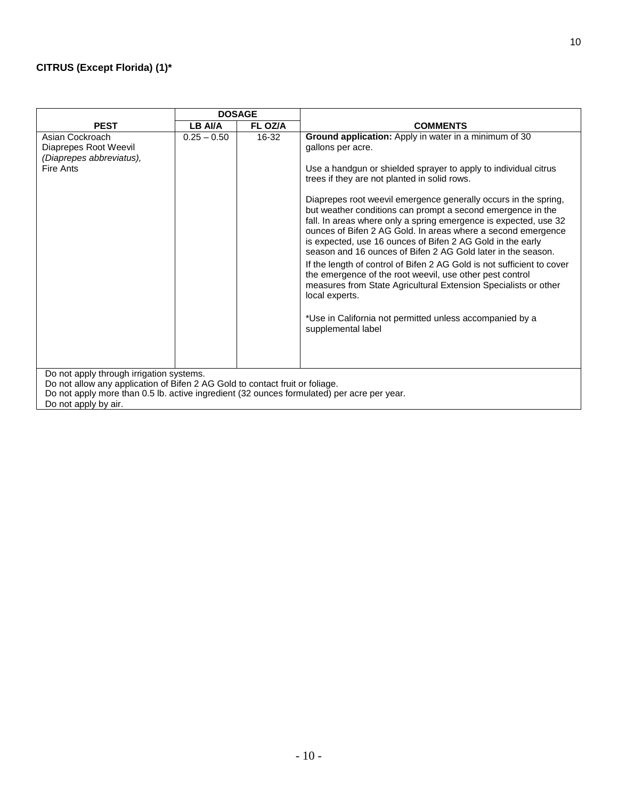## **CITRUS (Except Florida) (1)\***

|                                                                                                                          | <b>DOSAGE</b> |           |                                                                                                                                                                                                                                                                                                                                                                                                                                                                                                                                                                                                                                                                                                                                                                                                                                                                                                                |  |  |
|--------------------------------------------------------------------------------------------------------------------------|---------------|-----------|----------------------------------------------------------------------------------------------------------------------------------------------------------------------------------------------------------------------------------------------------------------------------------------------------------------------------------------------------------------------------------------------------------------------------------------------------------------------------------------------------------------------------------------------------------------------------------------------------------------------------------------------------------------------------------------------------------------------------------------------------------------------------------------------------------------------------------------------------------------------------------------------------------------|--|--|
| <b>PEST</b>                                                                                                              | LB AI/A       | FL OZ/A   | <b>COMMENTS</b>                                                                                                                                                                                                                                                                                                                                                                                                                                                                                                                                                                                                                                                                                                                                                                                                                                                                                                |  |  |
| Asian Cockroach<br>Diaprepes Root Weevil<br>(Diaprepes abbreviatus),<br>Fire Ants                                        | $0.25 - 0.50$ | $16 - 32$ | Ground application: Apply in water in a minimum of 30<br>gallons per acre.<br>Use a handgun or shielded sprayer to apply to individual citrus<br>trees if they are not planted in solid rows.<br>Diaprepes root weevil emergence generally occurs in the spring,<br>but weather conditions can prompt a second emergence in the<br>fall. In areas where only a spring emergence is expected, use 32<br>ounces of Bifen 2 AG Gold. In areas where a second emergence<br>is expected, use 16 ounces of Bifen 2 AG Gold in the early<br>season and 16 ounces of Bifen 2 AG Gold later in the season.<br>If the length of control of Bifen 2 AG Gold is not sufficient to cover<br>the emergence of the root weevil, use other pest control<br>measures from State Agricultural Extension Specialists or other<br>local experts.<br>*Use in California not permitted unless accompanied by a<br>supplemental label |  |  |
| Do not apply through irrigation systems.<br>Do not allow any application of Bifen 2 AG Gold to contact fruit or foliage. |               |           |                                                                                                                                                                                                                                                                                                                                                                                                                                                                                                                                                                                                                                                                                                                                                                                                                                                                                                                |  |  |
| Do not apply more than 0.5 lb. active ingredient (32 ounces formulated) per acre per year.<br>Do not apply by air.       |               |           |                                                                                                                                                                                                                                                                                                                                                                                                                                                                                                                                                                                                                                                                                                                                                                                                                                                                                                                |  |  |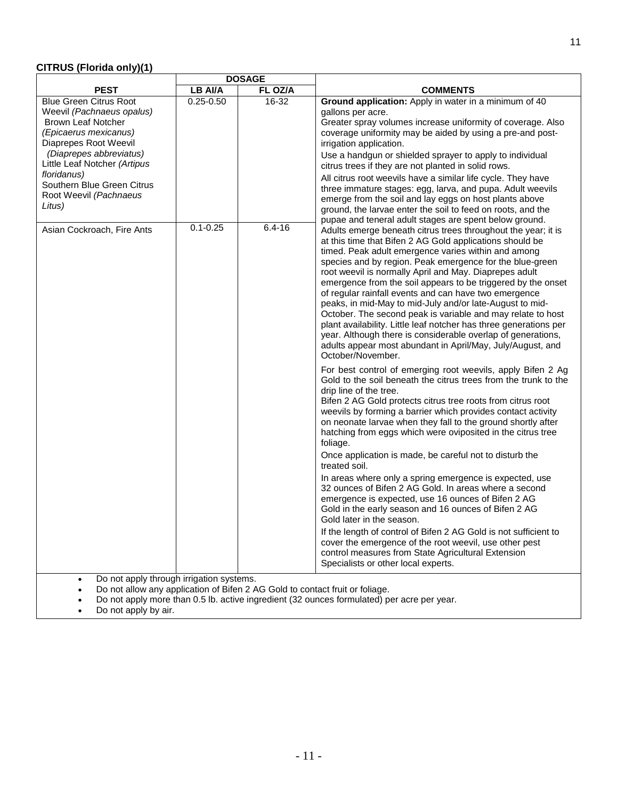## **CITRUS (Florida only)(1)**

|                                                                                                                                                                                                                                                                                       | <b>DOSAGE</b> |            |                                                                                                                                                                                                                                                                                                                                                                                                                                                                                                                                                                                                                                                                                                                                                                                                                                                                                                                                                                                                                                                                                                                                                                                                                                                                                                                                                                                                                                                                                                                                                                                                                                                                                                                                                                                                |  |  |
|---------------------------------------------------------------------------------------------------------------------------------------------------------------------------------------------------------------------------------------------------------------------------------------|---------------|------------|------------------------------------------------------------------------------------------------------------------------------------------------------------------------------------------------------------------------------------------------------------------------------------------------------------------------------------------------------------------------------------------------------------------------------------------------------------------------------------------------------------------------------------------------------------------------------------------------------------------------------------------------------------------------------------------------------------------------------------------------------------------------------------------------------------------------------------------------------------------------------------------------------------------------------------------------------------------------------------------------------------------------------------------------------------------------------------------------------------------------------------------------------------------------------------------------------------------------------------------------------------------------------------------------------------------------------------------------------------------------------------------------------------------------------------------------------------------------------------------------------------------------------------------------------------------------------------------------------------------------------------------------------------------------------------------------------------------------------------------------------------------------------------------------|--|--|
| <b>PEST</b>                                                                                                                                                                                                                                                                           | LB AI/A       | FL OZ/A    | <b>COMMENTS</b>                                                                                                                                                                                                                                                                                                                                                                                                                                                                                                                                                                                                                                                                                                                                                                                                                                                                                                                                                                                                                                                                                                                                                                                                                                                                                                                                                                                                                                                                                                                                                                                                                                                                                                                                                                                |  |  |
| <b>Blue Green Citrus Root</b><br>Weevil (Pachnaeus opalus)<br><b>Brown Leaf Notcher</b><br>(Epicaerus mexicanus)<br>Diaprepes Root Weevil<br>(Diaprepes abbreviatus)<br>Little Leaf Notcher (Artipus<br>floridanus)<br>Southern Blue Green Citrus<br>Root Weevil (Pachnaeus<br>Litus) | $0.25 - 0.50$ | 16-32      | Ground application: Apply in water in a minimum of 40<br>gallons per acre.<br>Greater spray volumes increase uniformity of coverage. Also<br>coverage uniformity may be aided by using a pre-and post-<br>irrigation application.<br>Use a handgun or shielded sprayer to apply to individual<br>citrus trees if they are not planted in solid rows.<br>All citrus root weevils have a similar life cycle. They have<br>three immature stages: egg, larva, and pupa. Adult weevils<br>emerge from the soil and lay eggs on host plants above<br>ground, the larvae enter the soil to feed on roots, and the<br>pupae and teneral adult stages are spent below ground.                                                                                                                                                                                                                                                                                                                                                                                                                                                                                                                                                                                                                                                                                                                                                                                                                                                                                                                                                                                                                                                                                                                          |  |  |
| Asian Cockroach, Fire Ants                                                                                                                                                                                                                                                            | $0.1 - 0.25$  | $6.4 - 16$ | Adults emerge beneath citrus trees throughout the year; it is<br>at this time that Bifen 2 AG Gold applications should be<br>timed. Peak adult emergence varies within and among<br>species and by region. Peak emergence for the blue-green<br>root weevil is normally April and May. Diaprepes adult<br>emergence from the soil appears to be triggered by the onset<br>of regular rainfall events and can have two emergence<br>peaks, in mid-May to mid-July and/or late-August to mid-<br>October. The second peak is variable and may relate to host<br>plant availability. Little leaf notcher has three generations per<br>year. Although there is considerable overlap of generations,<br>adults appear most abundant in April/May, July/August, and<br>October/November.<br>For best control of emerging root weevils, apply Bifen 2 Ag<br>Gold to the soil beneath the citrus trees from the trunk to the<br>drip line of the tree.<br>Bifen 2 AG Gold protects citrus tree roots from citrus root<br>weevils by forming a barrier which provides contact activity<br>on neonate larvae when they fall to the ground shortly after<br>hatching from eggs which were oviposited in the citrus tree<br>foliage.<br>Once application is made, be careful not to disturb the<br>treated soil.<br>In areas where only a spring emergence is expected, use<br>32 ounces of Bifen 2 AG Gold. In areas where a second<br>emergence is expected, use 16 ounces of Bifen 2 AG<br>Gold in the early season and 16 ounces of Bifen 2 AG<br>Gold later in the season.<br>If the length of control of Bifen 2 AG Gold is not sufficient to<br>cover the emergence of the root weevil, use other pest<br>control measures from State Agricultural Extension<br>Specialists or other local experts. |  |  |
| Do not apply through irrigation systems.<br>$\bullet$<br>Do not allow any application of Bifen 2 AG Gold to contact fruit or foliage.                                                                                                                                                 |               |            |                                                                                                                                                                                                                                                                                                                                                                                                                                                                                                                                                                                                                                                                                                                                                                                                                                                                                                                                                                                                                                                                                                                                                                                                                                                                                                                                                                                                                                                                                                                                                                                                                                                                                                                                                                                                |  |  |

• Do not apply more than 0.5 lb. active ingredient (32 ounces formulated) per acre per year.

• Do not apply by air.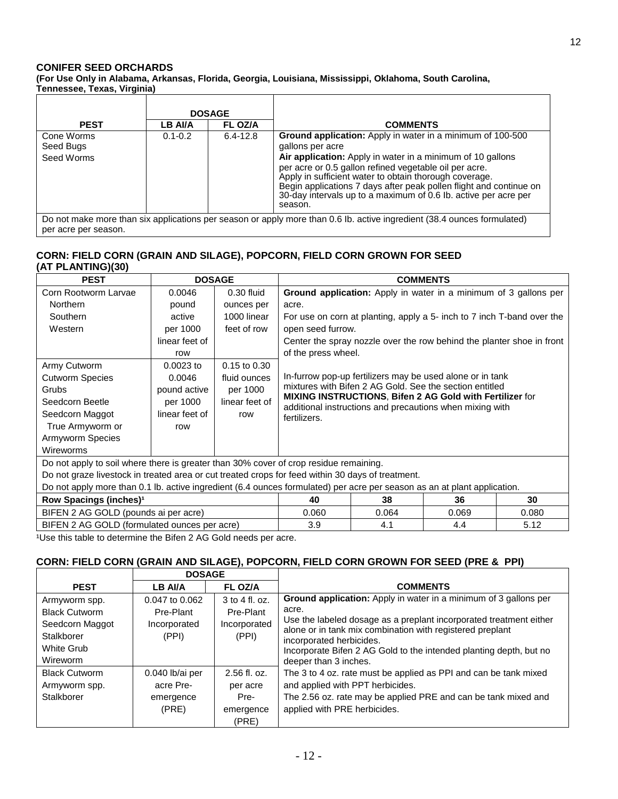## **CONIFER SEED ORCHARDS**

**(For Use Only in Alabama, Arkansas, Florida, Georgia, Louisiana, Mississippi, Oklahoma, South Carolina, Tennessee, Texas, Virginia)**

|                                       | <b>DOSAGE</b> |              |                                                                                                                                                                                                                                                                                                                                                                                                                      |
|---------------------------------------|---------------|--------------|----------------------------------------------------------------------------------------------------------------------------------------------------------------------------------------------------------------------------------------------------------------------------------------------------------------------------------------------------------------------------------------------------------------------|
| <b>PEST</b>                           | LB AI/A       | FL OZ/A      | <b>COMMENTS</b>                                                                                                                                                                                                                                                                                                                                                                                                      |
| Cone Worms<br>Seed Bugs<br>Seed Worms | $0.1 - 0.2$   | $6.4 - 12.8$ | Ground application: Apply in water in a minimum of 100-500<br>gallons per acre<br>Air application: Apply in water in a minimum of 10 gallons<br>per acre or 0.5 gallon refined vegetable oil per acre.<br>Apply in sufficient water to obtain thorough coverage.<br>Begin applications 7 days after peak pollen flight and continue on<br>30-day intervals up to a maximum of 0.6 lb. active per acre per<br>season. |
| per acre per season.                  |               |              | Do not make more than six applications per season or apply more than 0.6 lb. active ingredient (38.4 ounces formulated)                                                                                                                                                                                                                                                                                              |

#### **CORN: FIELD CORN (GRAIN AND SILAGE), POPCORN, FIELD CORN GROWN FOR SEED (AT PLANTING)(30)**

| AI FLANTING 1901)                                                                                 |                                                                                                                          |                  |                                                                                                                                                                                                        |                                                                       |       |       |  |
|---------------------------------------------------------------------------------------------------|--------------------------------------------------------------------------------------------------------------------------|------------------|--------------------------------------------------------------------------------------------------------------------------------------------------------------------------------------------------------|-----------------------------------------------------------------------|-------|-------|--|
| <b>PEST</b>                                                                                       | <b>DOSAGE</b>                                                                                                            |                  | <b>COMMENTS</b>                                                                                                                                                                                        |                                                                       |       |       |  |
| Corn Rootworm Larvae                                                                              | 0.0046                                                                                                                   | $0.30$ fluid     | <b>Ground application:</b> Apply in water in a minimum of 3 gallons per                                                                                                                                |                                                                       |       |       |  |
| <b>Northern</b>                                                                                   | pound                                                                                                                    | ounces per       | acre.                                                                                                                                                                                                  |                                                                       |       |       |  |
| Southern                                                                                          | active                                                                                                                   | 1000 linear      | For use on corn at planting, apply a 5- inch to 7 inch T-band over the                                                                                                                                 |                                                                       |       |       |  |
| Western                                                                                           | per 1000                                                                                                                 | feet of row      | open seed furrow.                                                                                                                                                                                      |                                                                       |       |       |  |
|                                                                                                   | linear feet of                                                                                                           |                  |                                                                                                                                                                                                        | Center the spray nozzle over the row behind the planter shoe in front |       |       |  |
|                                                                                                   | row                                                                                                                      |                  | of the press wheel.                                                                                                                                                                                    |                                                                       |       |       |  |
| Army Cutworm                                                                                      | $0.0023$ to                                                                                                              | $0.15$ to $0.30$ | In-furrow pop-up fertilizers may be used alone or in tank                                                                                                                                              |                                                                       |       |       |  |
| <b>Cutworm Species</b>                                                                            | 0.0046                                                                                                                   | fluid ounces     |                                                                                                                                                                                                        |                                                                       |       |       |  |
| Grubs                                                                                             | pound active                                                                                                             | per 1000         | mixtures with Bifen 2 AG Gold. See the section entitled<br><b>MIXING INSTRUCTIONS. Bifen 2 AG Gold with Fertilizer for</b><br>additional instructions and precautions when mixing with<br>fertilizers. |                                                                       |       |       |  |
| Seedcorn Beetle                                                                                   | per 1000                                                                                                                 | linear feet of   |                                                                                                                                                                                                        |                                                                       |       |       |  |
| Seedcorn Maggot                                                                                   | linear feet of                                                                                                           | row              |                                                                                                                                                                                                        |                                                                       |       |       |  |
| True Armyworm or                                                                                  | row                                                                                                                      |                  |                                                                                                                                                                                                        |                                                                       |       |       |  |
| Armyworm Species                                                                                  |                                                                                                                          |                  |                                                                                                                                                                                                        |                                                                       |       |       |  |
| Wireworms                                                                                         |                                                                                                                          |                  |                                                                                                                                                                                                        |                                                                       |       |       |  |
| Do not apply to soil where there is greater than 30% cover of crop residue remaining.             |                                                                                                                          |                  |                                                                                                                                                                                                        |                                                                       |       |       |  |
| Do not graze livestock in treated area or cut treated crops for feed within 30 days of treatment. |                                                                                                                          |                  |                                                                                                                                                                                                        |                                                                       |       |       |  |
|                                                                                                   | Do not apply more than 0.1 lb. active ingredient (6.4 ounces formulated) per acre per season as an at plant application. |                  |                                                                                                                                                                                                        |                                                                       |       |       |  |
| Row Spacings (inches) <sup>1</sup>                                                                |                                                                                                                          |                  | 40                                                                                                                                                                                                     | 38                                                                    | 36    | 30    |  |
| BIFEN 2 AG GOLD (pounds ai per acre)                                                              |                                                                                                                          |                  | 0.060                                                                                                                                                                                                  | 0.064                                                                 | 0.069 | 0.080 |  |
| BIFEN 2 AG GOLD (formulated ounces per acre)                                                      |                                                                                                                          |                  | 3.9                                                                                                                                                                                                    | 4.1                                                                   | 4.4   | 5.12  |  |

Use this table to determine the Bifen 2 AG Gold needs per acre.

## **CORN: FIELD CORN (GRAIN AND SILAGE), POPCORN, FIELD CORN GROWN FOR SEED (PRE & PPI)**

|                      | <b>DOSAGE</b>   |                |                                                                                                                                 |
|----------------------|-----------------|----------------|---------------------------------------------------------------------------------------------------------------------------------|
| <b>PEST</b>          | LB AI/A         | FL OZ/A        | <b>COMMENTS</b>                                                                                                                 |
| Armyworm spp.        | 0.047 to 0.062  | 3 to 4 fl. oz. | Ground application: Apply in water in a minimum of 3 gallons per                                                                |
| <b>Black Cutworm</b> | Pre-Plant       | Pre-Plant      | acre.                                                                                                                           |
| Seedcorn Maggot      | Incorporated    | Incorporated   | Use the labeled dosage as a preplant incorporated treatment either<br>alone or in tank mix combination with registered preplant |
| Stalkborer           | (PPI)           | (PPI)          | incorporated herbicides.                                                                                                        |
| White Grub           |                 |                | Incorporate Bifen 2 AG Gold to the intended planting depth, but no                                                              |
| Wireworm             |                 |                | deeper than 3 inches.                                                                                                           |
| <b>Black Cutworm</b> | 0.040 lb/ai per | $2.56$ fl. oz. | The 3 to 4 oz. rate must be applied as PPI and can be tank mixed                                                                |
| Armyworm spp.        | acre Pre-       | per acre       | and applied with PPT herbicides.                                                                                                |
| Stalkborer           | emergence       | Pre-           | The 2.56 oz. rate may be applied PRE and can be tank mixed and                                                                  |
|                      | (PRE)           | emergence      | applied with PRE herbicides.                                                                                                    |
|                      |                 | (PRE)          |                                                                                                                                 |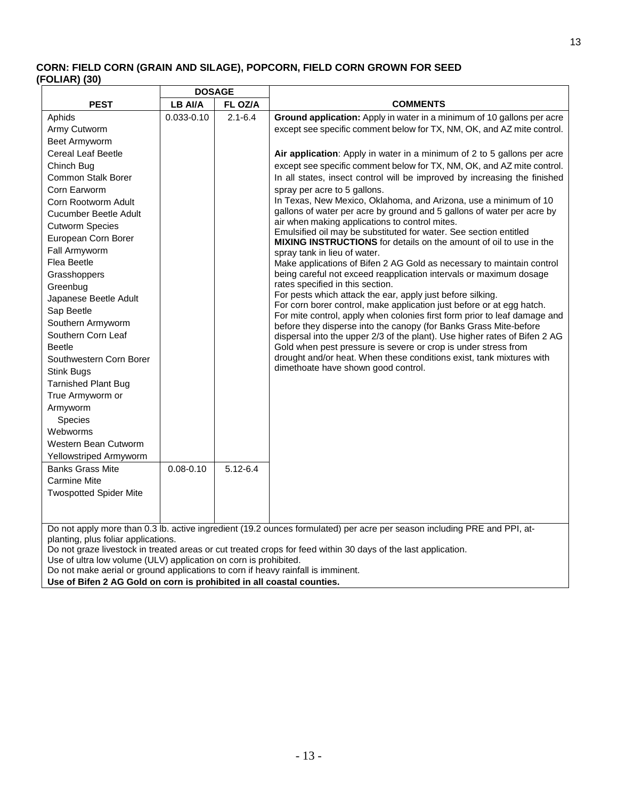## **CORN: FIELD CORN (GRAIN AND SILAGE), POPCORN, FIELD CORN GROWN FOR SEED (FOLIAR) (30)**

Use of ultra low volume (ULV) application on corn is prohibited. Do not make aerial or ground applications to corn if heavy rainfall is imminent.

**Use of Bifen 2 AG Gold on corn is prohibited in all coastal counties.**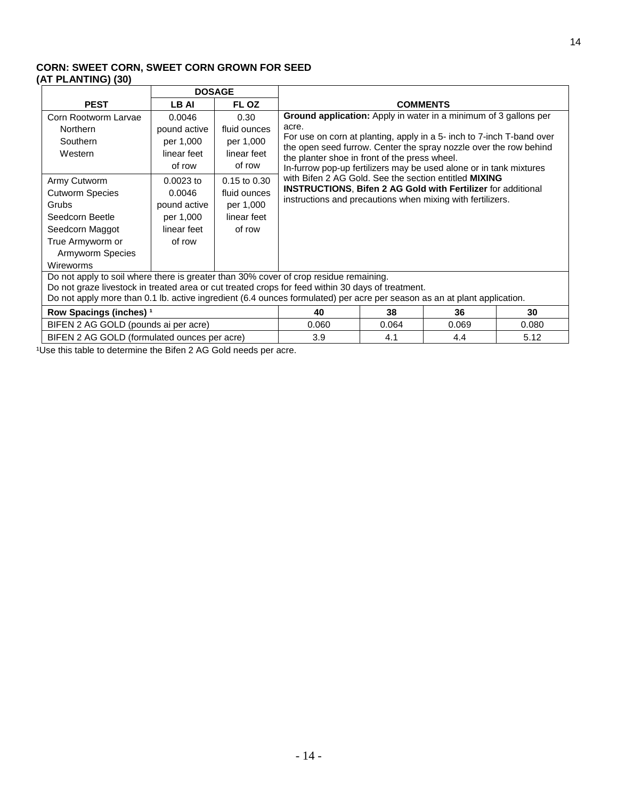### **CORN: SWEET CORN, SWEET CORN GROWN FOR SEED (AT PLANTING) (30)**

|                                                                                                   | <b>DOSAGE</b>                                                                                                            |              |                                                                                                                                                                                                                                                                                                                          |       |       |       |  |  |
|---------------------------------------------------------------------------------------------------|--------------------------------------------------------------------------------------------------------------------------|--------------|--------------------------------------------------------------------------------------------------------------------------------------------------------------------------------------------------------------------------------------------------------------------------------------------------------------------------|-------|-------|-------|--|--|
| <b>PEST</b>                                                                                       | LB AI                                                                                                                    | FL OZ        | <b>COMMENTS</b>                                                                                                                                                                                                                                                                                                          |       |       |       |  |  |
| Corn Rootworm Larvae                                                                              | 0.0046                                                                                                                   | 0.30         | <b>Ground application:</b> Apply in water in a minimum of 3 gallons per                                                                                                                                                                                                                                                  |       |       |       |  |  |
| <b>Northern</b>                                                                                   | pound active                                                                                                             | fluid ounces | acre.                                                                                                                                                                                                                                                                                                                    |       |       |       |  |  |
| Southern                                                                                          | per 1,000                                                                                                                | per 1,000    | For use on corn at planting, apply in a 5- inch to 7-inch T-band over                                                                                                                                                                                                                                                    |       |       |       |  |  |
| Western                                                                                           | linear feet                                                                                                              | linear feet  | the open seed furrow. Center the spray nozzle over the row behind                                                                                                                                                                                                                                                        |       |       |       |  |  |
|                                                                                                   | of row                                                                                                                   | of row       | the planter shoe in front of the press wheel.<br>In-furrow pop-up fertilizers may be used alone or in tank mixtures<br>with Bifen 2 AG Gold. See the section entitled <b>MIXING</b><br><b>INSTRUCTIONS, Bifen 2 AG Gold with Fertilizer for additional</b><br>instructions and precautions when mixing with fertilizers. |       |       |       |  |  |
| Army Cutworm                                                                                      | $0.0023$ to                                                                                                              | 0.15 to 0.30 |                                                                                                                                                                                                                                                                                                                          |       |       |       |  |  |
| <b>Cutworm Species</b>                                                                            | 0.0046                                                                                                                   | fluid ounces |                                                                                                                                                                                                                                                                                                                          |       |       |       |  |  |
| Grubs                                                                                             | pound active                                                                                                             | per 1,000    |                                                                                                                                                                                                                                                                                                                          |       |       |       |  |  |
| Seedcorn Beetle                                                                                   | per 1,000                                                                                                                | linear feet  |                                                                                                                                                                                                                                                                                                                          |       |       |       |  |  |
| Seedcorn Maggot                                                                                   | linear feet                                                                                                              | of row       |                                                                                                                                                                                                                                                                                                                          |       |       |       |  |  |
| True Armyworm or                                                                                  | of row                                                                                                                   |              |                                                                                                                                                                                                                                                                                                                          |       |       |       |  |  |
| Armyworm Species                                                                                  |                                                                                                                          |              |                                                                                                                                                                                                                                                                                                                          |       |       |       |  |  |
| Wireworms                                                                                         |                                                                                                                          |              |                                                                                                                                                                                                                                                                                                                          |       |       |       |  |  |
| Do not apply to soil where there is greater than 30% cover of crop residue remaining.             |                                                                                                                          |              |                                                                                                                                                                                                                                                                                                                          |       |       |       |  |  |
| Do not graze livestock in treated area or cut treated crops for feed within 30 days of treatment. |                                                                                                                          |              |                                                                                                                                                                                                                                                                                                                          |       |       |       |  |  |
|                                                                                                   | Do not apply more than 0.1 lb. active ingredient (6.4 ounces formulated) per acre per season as an at plant application. |              |                                                                                                                                                                                                                                                                                                                          |       |       |       |  |  |
| Row Spacings (inches) <sup>1</sup>                                                                |                                                                                                                          |              | 40                                                                                                                                                                                                                                                                                                                       | 38    | 36    | 30    |  |  |
| BIFEN 2 AG GOLD (pounds ai per acre)                                                              |                                                                                                                          |              | 0.060                                                                                                                                                                                                                                                                                                                    | 0.064 | 0.069 | 0.080 |  |  |
| BIFEN 2 AG GOLD (formulated ounces per acre)                                                      |                                                                                                                          |              | 3.9                                                                                                                                                                                                                                                                                                                      | 4.1   | 4.4   | 5.12  |  |  |

Use this table to determine the Bifen 2 AG Gold needs per acre.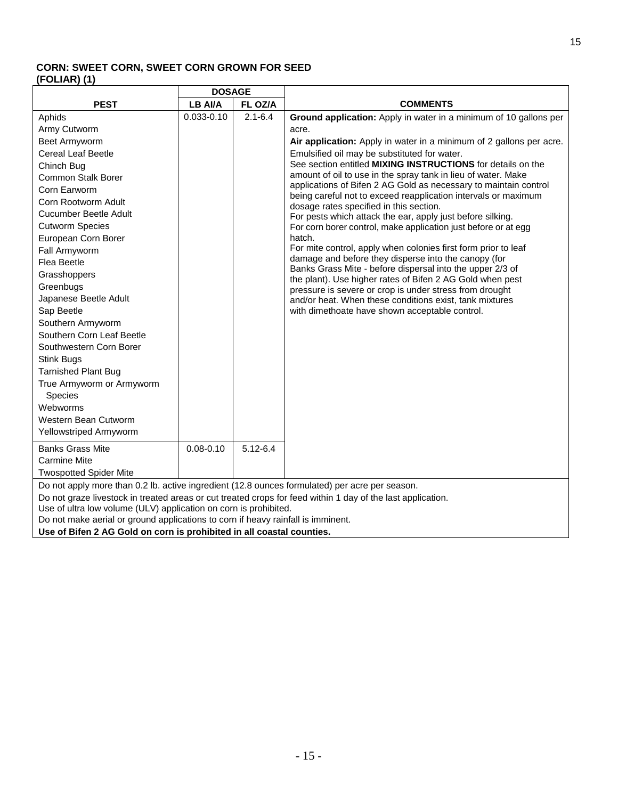### **CORN: SWEET CORN, SWEET CORN GROWN FOR SEED (FOLIAR) (1)**

|                                                                                                             | <b>DOSAGE</b>  |              |                                                                                                                                    |  |  |  |  |
|-------------------------------------------------------------------------------------------------------------|----------------|--------------|------------------------------------------------------------------------------------------------------------------------------------|--|--|--|--|
| <b>PEST</b>                                                                                                 | LB AI/A        | FL OZ/A      | <b>COMMENTS</b>                                                                                                                    |  |  |  |  |
| Aphids                                                                                                      | $0.033 - 0.10$ | $2.1 - 6.4$  | Ground application: Apply in water in a minimum of 10 gallons per                                                                  |  |  |  |  |
| Army Cutworm                                                                                                |                |              | acre.                                                                                                                              |  |  |  |  |
| Beet Armyworm                                                                                               |                |              | Air application: Apply in water in a minimum of 2 gallons per acre.                                                                |  |  |  |  |
| <b>Cereal Leaf Beetle</b>                                                                                   |                |              | Emulsified oil may be substituted for water.                                                                                       |  |  |  |  |
| Chinch Bug                                                                                                  |                |              | See section entitled MIXING INSTRUCTIONS for details on the                                                                        |  |  |  |  |
| <b>Common Stalk Borer</b>                                                                                   |                |              | amount of oil to use in the spray tank in lieu of water. Make                                                                      |  |  |  |  |
| Corn Earworm                                                                                                |                |              | applications of Bifen 2 AG Gold as necessary to maintain control<br>being careful not to exceed reapplication intervals or maximum |  |  |  |  |
| Corn Rootworm Adult                                                                                         |                |              | dosage rates specified in this section.                                                                                            |  |  |  |  |
| <b>Cucumber Beetle Adult</b>                                                                                |                |              | For pests which attack the ear, apply just before silking.                                                                         |  |  |  |  |
| <b>Cutworm Species</b>                                                                                      |                |              | For corn borer control, make application just before or at egg                                                                     |  |  |  |  |
| European Corn Borer                                                                                         |                |              | hatch.                                                                                                                             |  |  |  |  |
| Fall Armyworm                                                                                               |                |              | For mite control, apply when colonies first form prior to leaf                                                                     |  |  |  |  |
| <b>Flea Beetle</b>                                                                                          |                |              | damage and before they disperse into the canopy (for<br>Banks Grass Mite - before dispersal into the upper 2/3 of                  |  |  |  |  |
| Grasshoppers                                                                                                |                |              | the plant). Use higher rates of Bifen 2 AG Gold when pest                                                                          |  |  |  |  |
| Greenbugs                                                                                                   |                |              | pressure is severe or crop is under stress from drought                                                                            |  |  |  |  |
| Japanese Beetle Adult                                                                                       |                |              | and/or heat. When these conditions exist, tank mixtures                                                                            |  |  |  |  |
| Sap Beetle                                                                                                  |                |              | with dimethoate have shown acceptable control.                                                                                     |  |  |  |  |
| Southern Armyworm                                                                                           |                |              |                                                                                                                                    |  |  |  |  |
| Southern Corn Leaf Beetle                                                                                   |                |              |                                                                                                                                    |  |  |  |  |
| Southwestern Corn Borer                                                                                     |                |              |                                                                                                                                    |  |  |  |  |
| <b>Stink Bugs</b>                                                                                           |                |              |                                                                                                                                    |  |  |  |  |
| <b>Tarnished Plant Bug</b>                                                                                  |                |              |                                                                                                                                    |  |  |  |  |
| True Armyworm or Armyworm                                                                                   |                |              |                                                                                                                                    |  |  |  |  |
| Species                                                                                                     |                |              |                                                                                                                                    |  |  |  |  |
| Webworms                                                                                                    |                |              |                                                                                                                                    |  |  |  |  |
| Western Bean Cutworm                                                                                        |                |              |                                                                                                                                    |  |  |  |  |
| Yellowstriped Armyworm                                                                                      |                |              |                                                                                                                                    |  |  |  |  |
| <b>Banks Grass Mite</b>                                                                                     | $0.08 - 0.10$  | $5.12 - 6.4$ |                                                                                                                                    |  |  |  |  |
| Carmine Mite                                                                                                |                |              |                                                                                                                                    |  |  |  |  |
| <b>Twospotted Spider Mite</b>                                                                               |                |              |                                                                                                                                    |  |  |  |  |
| Do not apply more than 0.2 lb. active ingredient (12.8 ounces formulated) per acre per season.              |                |              |                                                                                                                                    |  |  |  |  |
| Do not graze livestock in treated areas or cut treated crops for feed within 1 day of the last application. |                |              |                                                                                                                                    |  |  |  |  |
| Use of ultra low volume (ULV) application on corn is prohibited.                                            |                |              |                                                                                                                                    |  |  |  |  |
| Do not make aerial or ground applications to corn if heavy rainfall is imminent.                            |                |              |                                                                                                                                    |  |  |  |  |
| Use of Bifen 2 AG Gold on corn is prohibited in all coastal counties.                                       |                |              |                                                                                                                                    |  |  |  |  |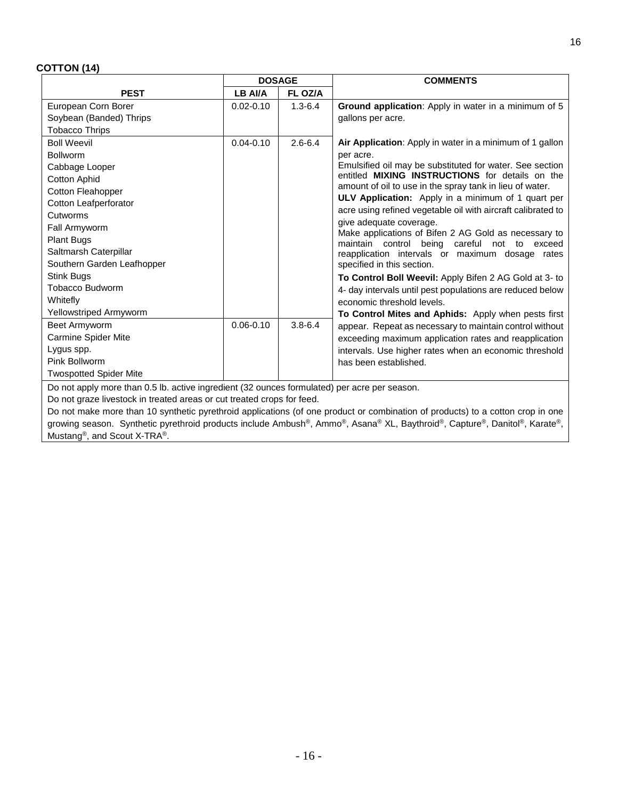## **COTTON (14)**

| <b>DOSAGE</b>                 |               | <b>COMMENTS</b> |                                                                                                                    |
|-------------------------------|---------------|-----------------|--------------------------------------------------------------------------------------------------------------------|
| <b>PEST</b>                   | LB AI/A       | FL OZ/A         |                                                                                                                    |
| European Corn Borer           | $0.02 - 0.10$ | $1.3 - 6.4$     | Ground application: Apply in water in a minimum of 5                                                               |
| Soybean (Banded) Thrips       |               |                 | gallons per acre.                                                                                                  |
| <b>Tobacco Thrips</b>         |               |                 |                                                                                                                    |
| <b>Boll Weevil</b>            | $0.04 - 0.10$ | $2.6 - 6.4$     | Air Application: Apply in water in a minimum of 1 gallon                                                           |
| <b>Bollworm</b>               |               |                 | per acre.                                                                                                          |
| Cabbage Looper                |               |                 | Emulsified oil may be substituted for water. See section                                                           |
| Cotton Aphid                  |               |                 | entitled <b>MIXING INSTRUCTIONS</b> for details on the<br>amount of oil to use in the spray tank in lieu of water. |
| Cotton Fleahopper             |               |                 | ULV Application: Apply in a minimum of 1 quart per                                                                 |
| Cotton Leafperforator         |               |                 | acre using refined vegetable oil with aircraft calibrated to                                                       |
| Cutworms                      |               |                 | give adequate coverage.                                                                                            |
| Fall Armyworm                 |               |                 | Make applications of Bifen 2 AG Gold as necessary to                                                               |
| <b>Plant Bugs</b>             |               |                 | maintain control<br>being careful not to<br>exceed                                                                 |
| Saltmarsh Caterpillar         |               |                 | reapplication intervals or maximum dosage rates                                                                    |
| Southern Garden Leafhopper    |               |                 | specified in this section.                                                                                         |
| Stink Bugs                    |               |                 | To Control Boll Weevil: Apply Bifen 2 AG Gold at 3- to                                                             |
| Tobacco Budworm<br>Whitefly   |               |                 | 4- day intervals until pest populations are reduced below                                                          |
| Yellowstriped Armyworm        |               |                 | economic threshold levels.                                                                                         |
| Beet Armyworm                 | $0.06 - 0.10$ | $3.8 - 6.4$     | To Control Mites and Aphids: Apply when pests first                                                                |
| Carmine Spider Mite           |               |                 | appear. Repeat as necessary to maintain control without                                                            |
| Lygus spp.                    |               |                 | exceeding maximum application rates and reapplication<br>intervals. Use higher rates when an economic threshold    |
| Pink Bollworm                 |               |                 | has been established.                                                                                              |
| <b>Twospotted Spider Mite</b> |               |                 |                                                                                                                    |
|                               |               |                 |                                                                                                                    |

Do not apply more than 0.5 lb. active ingredient (32 ounces formulated) per acre per season.

Do not graze livestock in treated areas or cut treated crops for feed.

Do not make more than 10 synthetic pyrethroid applications (of one product or combination of products) to a cotton crop in one growing season. Synthetic pyrethroid products include Ambush®, Ammo®, Asana® XL, Baythroid®, Capture®, Danitol®, Karate®, Mustang®, and Scout X-TRA®.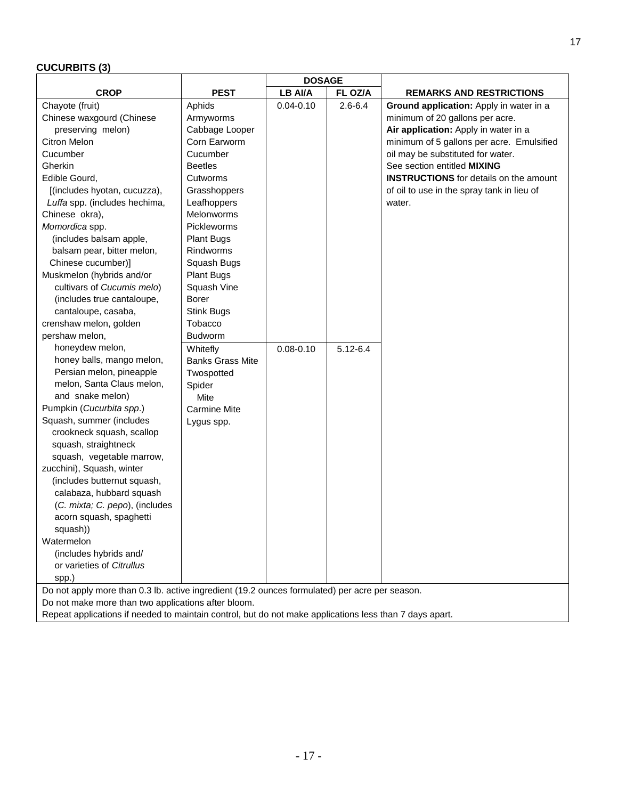# **CUCURBITS (3)**

|                                                                                                         |                         | <b>DOSAGE</b> |              |                                               |
|---------------------------------------------------------------------------------------------------------|-------------------------|---------------|--------------|-----------------------------------------------|
| <b>CROP</b>                                                                                             | <b>PEST</b>             | LB AI/A       | FL OZ/A      | <b>REMARKS AND RESTRICTIONS</b>               |
| Chayote (fruit)                                                                                         | Aphids                  | $0.04 - 0.10$ | $2.6 - 6.4$  | Ground application: Apply in water in a       |
| Chinese waxgourd (Chinese                                                                               | Armyworms               |               |              | minimum of 20 gallons per acre.               |
| preserving melon)                                                                                       | Cabbage Looper          |               |              | Air application: Apply in water in a          |
| <b>Citron Melon</b>                                                                                     | Corn Earworm            |               |              | minimum of 5 gallons per acre. Emulsified     |
| Cucumber                                                                                                | Cucumber                |               |              | oil may be substituted for water.             |
| Gherkin                                                                                                 | <b>Beetles</b>          |               |              | See section entitled MIXING                   |
| Edible Gourd,                                                                                           | Cutworms                |               |              | <b>INSTRUCTIONS</b> for details on the amount |
| [(includes hyotan, cucuzza),                                                                            | Grasshoppers            |               |              | of oil to use in the spray tank in lieu of    |
| Luffa spp. (includes hechima,                                                                           | Leafhoppers             |               |              | water.                                        |
| Chinese okra),                                                                                          | <b>Melonworms</b>       |               |              |                                               |
| Momordica spp.                                                                                          | Pickleworms             |               |              |                                               |
| (includes balsam apple,                                                                                 | <b>Plant Bugs</b>       |               |              |                                               |
| balsam pear, bitter melon,                                                                              | <b>Rindworms</b>        |               |              |                                               |
| Chinese cucumber)]                                                                                      | Squash Bugs             |               |              |                                               |
| Muskmelon (hybrids and/or                                                                               | Plant Bugs              |               |              |                                               |
| cultivars of Cucumis melo)                                                                              | Squash Vine             |               |              |                                               |
| (includes true cantaloupe,                                                                              | <b>Borer</b>            |               |              |                                               |
| cantaloupe, casaba,                                                                                     | <b>Stink Bugs</b>       |               |              |                                               |
| crenshaw melon, golden                                                                                  | Tobacco                 |               |              |                                               |
| pershaw melon,                                                                                          | <b>Budworm</b>          |               |              |                                               |
| honeydew melon,                                                                                         | Whitefly                | $0.08 - 0.10$ | $5.12 - 6.4$ |                                               |
| honey balls, mango melon,                                                                               | <b>Banks Grass Mite</b> |               |              |                                               |
| Persian melon, pineapple                                                                                | Twospotted              |               |              |                                               |
| melon, Santa Claus melon,                                                                               | Spider                  |               |              |                                               |
| and snake melon)                                                                                        | Mite                    |               |              |                                               |
| Pumpkin (Cucurbita spp.)                                                                                | <b>Carmine Mite</b>     |               |              |                                               |
| Squash, summer (includes                                                                                | Lygus spp.              |               |              |                                               |
| crookneck squash, scallop                                                                               |                         |               |              |                                               |
| squash, straightneck                                                                                    |                         |               |              |                                               |
| squash, vegetable marrow,                                                                               |                         |               |              |                                               |
| zucchini), Squash, winter                                                                               |                         |               |              |                                               |
| (includes butternut squash,                                                                             |                         |               |              |                                               |
| calabaza, hubbard squash                                                                                |                         |               |              |                                               |
| (C. mixta; C. pepo), (includes                                                                          |                         |               |              |                                               |
| acorn squash, spaghetti                                                                                 |                         |               |              |                                               |
| squash))                                                                                                |                         |               |              |                                               |
| Watermelon                                                                                              |                         |               |              |                                               |
| (includes hybrids and/                                                                                  |                         |               |              |                                               |
| or varieties of Citrullus                                                                               |                         |               |              |                                               |
| spp.)                                                                                                   |                         |               |              |                                               |
| Do not apply more than 0.3 lb. active ingredient (19.2 ounces formulated) per acre per season.          |                         |               |              |                                               |
| Do not make more than two applications after bloom.                                                     |                         |               |              |                                               |
| Repeat applications if needed to maintain control, but do not make applications less than 7 days apart. |                         |               |              |                                               |

 $\overline{\mathbf{1}}$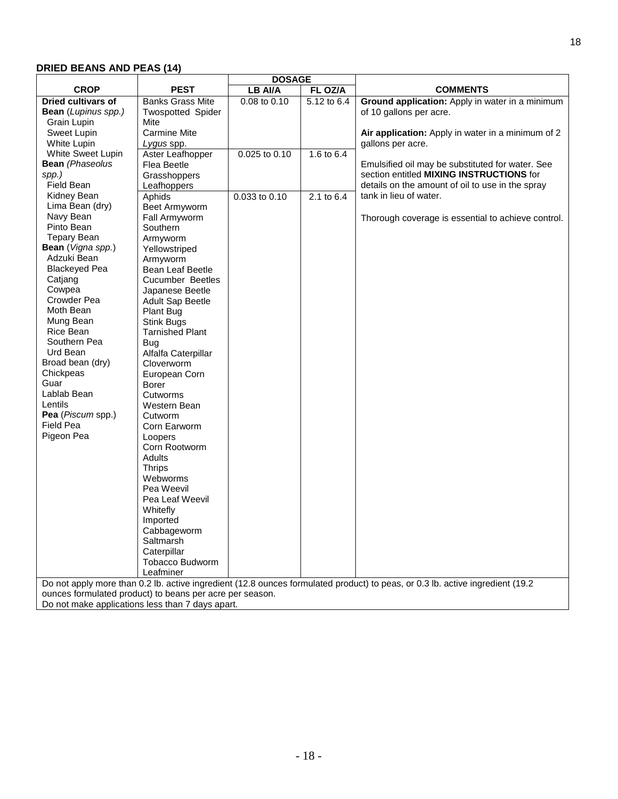## **DRIED BEANS AND PEAS (14)**

|                                                                                                                                            |                              | <b>DOSAGE</b> |             |                                                    |  |  |  |
|--------------------------------------------------------------------------------------------------------------------------------------------|------------------------------|---------------|-------------|----------------------------------------------------|--|--|--|
| <b>CROP</b>                                                                                                                                | <b>PEST</b>                  | LB AI/A       | FL OZ/A     | <b>COMMENTS</b>                                    |  |  |  |
| <b>Dried cultivars of</b>                                                                                                                  | <b>Banks Grass Mite</b>      | 0.08 to 0.10  | 5.12 to 6.4 | Ground application: Apply in water in a minimum    |  |  |  |
| <b>Bean</b> (Lupinus spp.)                                                                                                                 | <b>Twospotted Spider</b>     |               |             | of 10 gallons per acre.                            |  |  |  |
| Grain Lupin                                                                                                                                | Mite                         |               |             |                                                    |  |  |  |
| Sweet Lupin                                                                                                                                | <b>Carmine Mite</b>          |               |             | Air application: Apply in water in a minimum of 2  |  |  |  |
| White Lupin                                                                                                                                | Lygus spp.                   |               |             | gallons per acre.                                  |  |  |  |
| White Sweet Lupin                                                                                                                          | Aster Leafhopper             | 0.025 to 0.10 | 1.6 to 6.4  |                                                    |  |  |  |
| Bean (Phaseolus                                                                                                                            | <b>Flea Beetle</b>           |               |             | Emulsified oil may be substituted for water. See   |  |  |  |
| spp.)                                                                                                                                      | Grasshoppers                 |               |             | section entitled MIXING INSTRUCTIONS for           |  |  |  |
| Field Bean                                                                                                                                 | Leafhoppers                  |               |             | details on the amount of oil to use in the spray   |  |  |  |
| Kidney Bean                                                                                                                                | Aphids                       | 0.033 to 0.10 | 2.1 to 6.4  | tank in lieu of water.                             |  |  |  |
| Lima Bean (dry)                                                                                                                            | Beet Armyworm                |               |             |                                                    |  |  |  |
| Navy Bean                                                                                                                                  | Fall Armyworm                |               |             | Thorough coverage is essential to achieve control. |  |  |  |
| Pinto Bean                                                                                                                                 | Southern                     |               |             |                                                    |  |  |  |
| <b>Tepary Bean</b>                                                                                                                         | Armyworm                     |               |             |                                                    |  |  |  |
| Bean (Vigna spp.)                                                                                                                          | Yellowstriped                |               |             |                                                    |  |  |  |
| Adzuki Bean                                                                                                                                |                              |               |             |                                                    |  |  |  |
| <b>Blackeyed Pea</b>                                                                                                                       | Armyworm<br>Bean Leaf Beetle |               |             |                                                    |  |  |  |
| Catjang                                                                                                                                    | Cucumber Beetles             |               |             |                                                    |  |  |  |
| Cowpea                                                                                                                                     |                              |               |             |                                                    |  |  |  |
| Crowder Pea                                                                                                                                | Japanese Beetle              |               |             |                                                    |  |  |  |
| Moth Bean                                                                                                                                  | <b>Adult Sap Beetle</b>      |               |             |                                                    |  |  |  |
| Mung Bean                                                                                                                                  | Plant Bug                    |               |             |                                                    |  |  |  |
| Rice Bean                                                                                                                                  | Stink Bugs                   |               |             |                                                    |  |  |  |
| Southern Pea                                                                                                                               | <b>Tarnished Plant</b>       |               |             |                                                    |  |  |  |
| Urd Bean                                                                                                                                   | <b>Bug</b>                   |               |             |                                                    |  |  |  |
| Broad bean (dry)                                                                                                                           | Alfalfa Caterpillar          |               |             |                                                    |  |  |  |
| Chickpeas                                                                                                                                  | Cloverworm                   |               |             |                                                    |  |  |  |
| Guar                                                                                                                                       | European Corn                |               |             |                                                    |  |  |  |
| Lablab Bean                                                                                                                                | <b>Borer</b>                 |               |             |                                                    |  |  |  |
| Lentils                                                                                                                                    | Cutworms                     |               |             |                                                    |  |  |  |
| Pea (Piscum spp.)                                                                                                                          | Western Bean                 |               |             |                                                    |  |  |  |
| <b>Field Pea</b>                                                                                                                           | Cutworm                      |               |             |                                                    |  |  |  |
| Pigeon Pea                                                                                                                                 | Corn Earworm                 |               |             |                                                    |  |  |  |
|                                                                                                                                            | Loopers                      |               |             |                                                    |  |  |  |
|                                                                                                                                            | Corn Rootworm                |               |             |                                                    |  |  |  |
|                                                                                                                                            | Adults                       |               |             |                                                    |  |  |  |
|                                                                                                                                            | <b>Thrips</b>                |               |             |                                                    |  |  |  |
|                                                                                                                                            | Webworms                     |               |             |                                                    |  |  |  |
|                                                                                                                                            | Pea Weevil                   |               |             |                                                    |  |  |  |
|                                                                                                                                            | Pea Leaf Weevil              |               |             |                                                    |  |  |  |
|                                                                                                                                            | Whitefly                     |               |             |                                                    |  |  |  |
|                                                                                                                                            | Imported                     |               |             |                                                    |  |  |  |
|                                                                                                                                            | Cabbageworm                  |               |             |                                                    |  |  |  |
|                                                                                                                                            | Saltmarsh                    |               |             |                                                    |  |  |  |
|                                                                                                                                            | Caterpillar                  |               |             |                                                    |  |  |  |
|                                                                                                                                            | Tobacco Budworm              |               |             |                                                    |  |  |  |
| Leafminer<br>Do not apply more than 0.2 lb. active ingredient (12.8 ounces formulated product) to peas, or 0.3 lb. active ingredient (19.2 |                              |               |             |                                                    |  |  |  |
|                                                                                                                                            |                              |               |             |                                                    |  |  |  |
| ounces formulated product) to beans per acre per season.                                                                                   |                              |               |             |                                                    |  |  |  |
| Do not make applications less than 7 days apart.                                                                                           |                              |               |             |                                                    |  |  |  |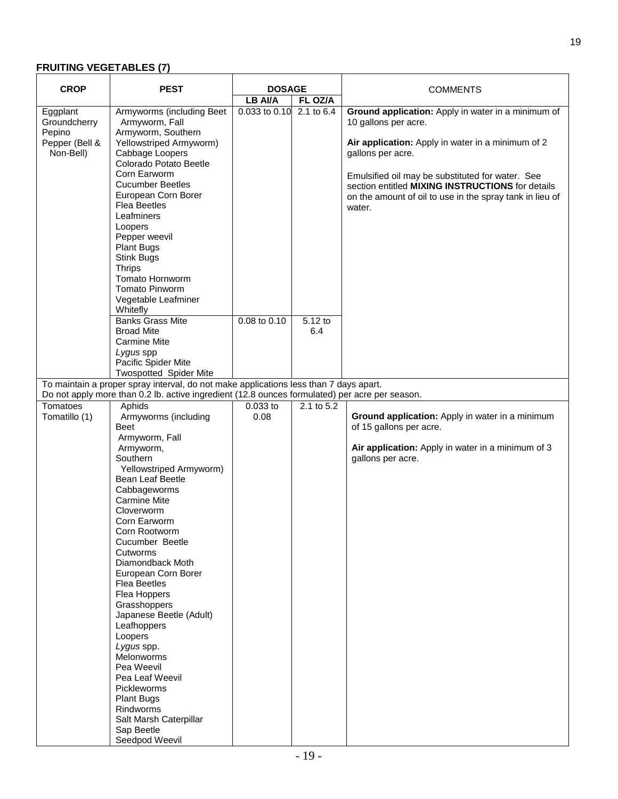## **FRUITING VEGETABLES (7)**

| <b>CROP</b>                                                       | <b>PEST</b>                                                                                                                                                                                                                                                                                                                                                                                                                                                                                                                                                                              | <b>DOSAGE</b> |                | <b>COMMENTS</b>                                                                                                                                                                                                                                                                                                                    |
|-------------------------------------------------------------------|------------------------------------------------------------------------------------------------------------------------------------------------------------------------------------------------------------------------------------------------------------------------------------------------------------------------------------------------------------------------------------------------------------------------------------------------------------------------------------------------------------------------------------------------------------------------------------------|---------------|----------------|------------------------------------------------------------------------------------------------------------------------------------------------------------------------------------------------------------------------------------------------------------------------------------------------------------------------------------|
|                                                                   |                                                                                                                                                                                                                                                                                                                                                                                                                                                                                                                                                                                          | LB AI/A       | FL OZ/A        |                                                                                                                                                                                                                                                                                                                                    |
| Eggplant<br>Groundcherry<br>Pepino<br>Pepper (Bell &<br>Non-Bell) | Armyworms (including Beet<br>Armyworm, Fall<br>Armyworm, Southern<br>Yellowstriped Armyworm)<br>Cabbage Loopers<br>Colorado Potato Beetle<br>Corn Earworm<br><b>Cucumber Beetles</b><br>European Corn Borer<br><b>Flea Beetles</b><br>Leafminers<br>Loopers<br>Pepper weevil<br><b>Plant Bugs</b><br>Stink Bugs<br><b>Thrips</b><br><b>Tomato Hornworm</b><br>Tomato Pinworm<br>Vegetable Leafminer                                                                                                                                                                                      | 0.033 to 0.10 | 2.1 to 6.4     | Ground application: Apply in water in a minimum of<br>10 gallons per acre.<br>Air application: Apply in water in a minimum of 2<br>gallons per acre.<br>Emulsified oil may be substituted for water. See<br>section entitled MIXING INSTRUCTIONS for details<br>on the amount of oil to use in the spray tank in lieu of<br>water. |
|                                                                   | Whitefly                                                                                                                                                                                                                                                                                                                                                                                                                                                                                                                                                                                 |               |                |                                                                                                                                                                                                                                                                                                                                    |
|                                                                   | <b>Banks Grass Mite</b><br><b>Broad Mite</b><br>Carmine Mite<br>Lygus spp<br>Pacific Spider Mite<br><b>Twospotted Spider Mite</b>                                                                                                                                                                                                                                                                                                                                                                                                                                                        | 0.08 to 0.10  | 5.12 to<br>6.4 |                                                                                                                                                                                                                                                                                                                                    |
|                                                                   | To maintain a proper spray interval, do not make applications less than 7 days apart.                                                                                                                                                                                                                                                                                                                                                                                                                                                                                                    |               |                |                                                                                                                                                                                                                                                                                                                                    |
| Tomatoes                                                          | Do not apply more than 0.2 lb. active ingredient (12.8 ounces formulated) per acre per season.<br>Aphids                                                                                                                                                                                                                                                                                                                                                                                                                                                                                 | $0.033$ to    | 2.1 to 5.2     |                                                                                                                                                                                                                                                                                                                                    |
| Tomatillo (1)                                                     | Armyworms (including<br>Beet<br>Armyworm, Fall<br>Armyworm,<br>Southern<br>Yellowstriped Armyworm)<br>Bean Leaf Beetle<br>Cabbageworms<br><b>Carmine Mite</b><br>Cloverworm<br>Corn Earworm<br>Corn Rootworm<br>Cucumber Beetle<br>Cutworms<br>Diamondback Moth<br>European Corn Borer<br><b>Flea Beetles</b><br>Flea Hoppers<br>Grasshoppers<br>Japanese Beetle (Adult)<br>Leafhoppers<br>Loopers<br>Lygus spp.<br><b>Melonworms</b><br>Pea Weevil<br>Pea Leaf Weevil<br>Pickleworms<br><b>Plant Bugs</b><br><b>Rindworms</b><br>Salt Marsh Caterpillar<br>Sap Beetle<br>Seedpod Weevil | 0.08          |                | Ground application: Apply in water in a minimum<br>of 15 gallons per acre.<br>Air application: Apply in water in a minimum of 3<br>gallons per acre.                                                                                                                                                                               |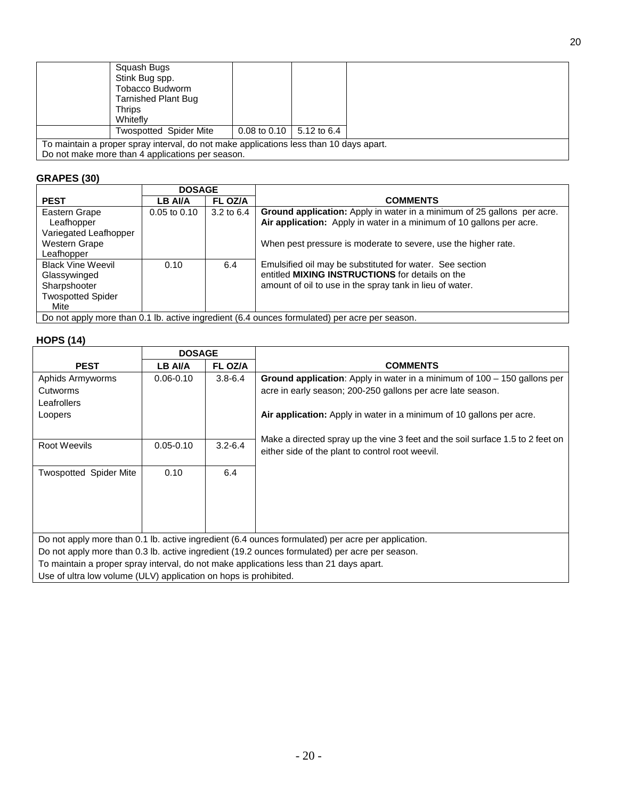| Squash Bugs<br>Stink Bug spp.<br>Tobacco Budworm<br><b>Tarnished Plant Bug</b><br>Thrips<br>Whitefly                                       |                |             |  |
|--------------------------------------------------------------------------------------------------------------------------------------------|----------------|-------------|--|
| <b>Twospotted Spider Mite</b>                                                                                                              | $0.08$ to 0.10 | 5.12 to 6.4 |  |
| To maintain a proper spray interval, do not make applications less than 10 days apart.<br>Do not make more than 4 applications per season. |                |             |  |

## **GRAPES (30)**

|                          | <b>DOSAGE</b>    |              |                                                                                               |
|--------------------------|------------------|--------------|-----------------------------------------------------------------------------------------------|
| <b>PEST</b>              | LB AI/A          | FL OZ/A      | <b>COMMENTS</b>                                                                               |
| Eastern Grape            | $0.05$ to $0.10$ | 3.2 to $6.4$ | <b>Ground application:</b> Apply in water in a minimum of 25 gallons per acre.                |
| Leafhopper               |                  |              | Air application: Apply in water in a minimum of 10 gallons per acre.                          |
| Variegated Leafhopper    |                  |              |                                                                                               |
| Western Grape            |                  |              | When pest pressure is moderate to severe, use the higher rate.                                |
| Leafhopper               |                  |              |                                                                                               |
| <b>Black Vine Weevil</b> | 0.10             | 6.4          | Emulsified oil may be substituted for water. See section                                      |
| Glassywinged             |                  |              | entitled <b>MIXING INSTRUCTIONS</b> for details on the                                        |
| Sharpshooter             |                  |              | amount of oil to use in the spray tank in lieu of water.                                      |
| <b>Twospotted Spider</b> |                  |              |                                                                                               |
| Mite                     |                  |              |                                                                                               |
|                          |                  |              | Do not apply more than 0.1 lb. active ingredient (6.4 ounces formulated) per acre per season. |

## **HOPS (14)**

|                                                                                        | <b>DOSAGE</b>                                                                                  |             |                                                                                                    |  |  |  |
|----------------------------------------------------------------------------------------|------------------------------------------------------------------------------------------------|-------------|----------------------------------------------------------------------------------------------------|--|--|--|
| <b>PEST</b>                                                                            | LB AVA                                                                                         | FL OZ/A     | <b>COMMENTS</b>                                                                                    |  |  |  |
| Aphids Armyworms                                                                       | $0.06 - 0.10$                                                                                  | $3.8 - 6.4$ | <b>Ground application:</b> Apply in water in a minimum of $100 - 150$ gallons per                  |  |  |  |
| Cutworms                                                                               |                                                                                                |             | acre in early season; 200-250 gallons per acre late season.                                        |  |  |  |
| Leafrollers                                                                            |                                                                                                |             |                                                                                                    |  |  |  |
| Loopers                                                                                |                                                                                                |             | Air application: Apply in water in a minimum of 10 gallons per acre.                               |  |  |  |
|                                                                                        |                                                                                                |             |                                                                                                    |  |  |  |
| Root Weevils                                                                           | $0.05 - 0.10$                                                                                  | $3.2 - 6.4$ | Make a directed spray up the vine 3 feet and the soil surface 1.5 to 2 feet on                     |  |  |  |
|                                                                                        |                                                                                                |             | either side of the plant to control root weevil.                                                   |  |  |  |
| <b>Twospotted Spider Mite</b>                                                          | 0.10                                                                                           | 6.4         |                                                                                                    |  |  |  |
|                                                                                        |                                                                                                |             |                                                                                                    |  |  |  |
|                                                                                        |                                                                                                |             |                                                                                                    |  |  |  |
|                                                                                        |                                                                                                |             |                                                                                                    |  |  |  |
|                                                                                        |                                                                                                |             |                                                                                                    |  |  |  |
|                                                                                        |                                                                                                |             | Do not apply more than 0.1 lb. active ingredient (6.4 ounces formulated) per acre per application. |  |  |  |
|                                                                                        |                                                                                                |             |                                                                                                    |  |  |  |
|                                                                                        | Do not apply more than 0.3 lb. active ingredient (19.2 ounces formulated) per acre per season. |             |                                                                                                    |  |  |  |
| To maintain a proper spray interval, do not make applications less than 21 days apart. |                                                                                                |             |                                                                                                    |  |  |  |
| Use of ultra low volume (ULV) application on hops is prohibited.                       |                                                                                                |             |                                                                                                    |  |  |  |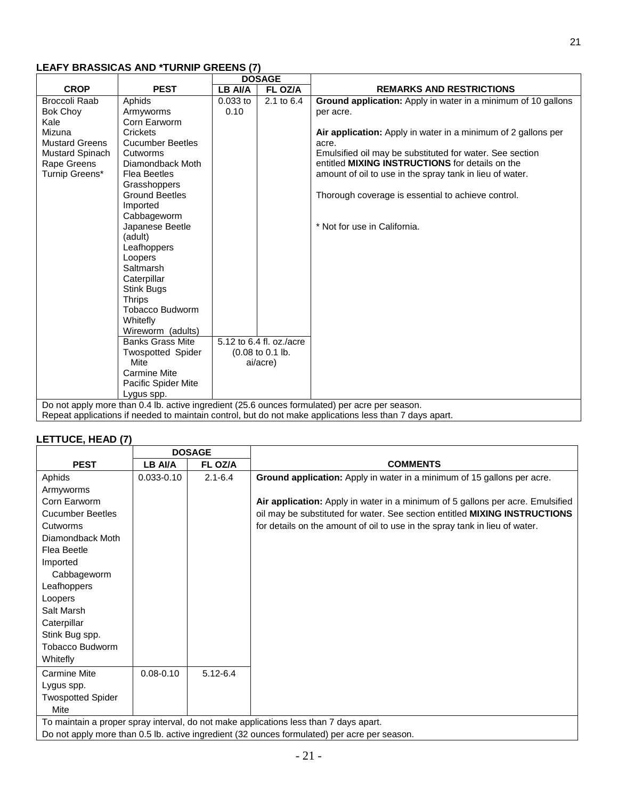## **LEAFY BRASSICAS AND \*TURNIP GREENS (7)**

|                       |                                                                                                         | <b>DOSAGE</b> |                          |                                                                                                |  |  |
|-----------------------|---------------------------------------------------------------------------------------------------------|---------------|--------------------------|------------------------------------------------------------------------------------------------|--|--|
| <b>CROP</b>           | <b>PEST</b>                                                                                             | LB AI/A       | FL OZ/A                  | <b>REMARKS AND RESTRICTIONS</b>                                                                |  |  |
| Broccoli Raab         | Aphids                                                                                                  | $0.033$ to    | 2.1 to 6.4               | Ground application: Apply in water in a minimum of 10 gallons                                  |  |  |
| <b>Bok Choy</b>       | Armyworms                                                                                               | 0.10          |                          | per acre.                                                                                      |  |  |
| Kale                  | Corn Earworm                                                                                            |               |                          |                                                                                                |  |  |
| Mizuna                | Crickets                                                                                                |               |                          | Air application: Apply in water in a minimum of 2 gallons per                                  |  |  |
| <b>Mustard Greens</b> | <b>Cucumber Beetles</b>                                                                                 |               |                          | acre.                                                                                          |  |  |
| Mustard Spinach       | Cutworms                                                                                                |               |                          | Emulsified oil may be substituted for water. See section                                       |  |  |
| Rape Greens           | Diamondback Moth                                                                                        |               |                          | entitled <b>MIXING INSTRUCTIONS</b> for details on the                                         |  |  |
| Turnip Greens*        | <b>Flea Beetles</b>                                                                                     |               |                          | amount of oil to use in the spray tank in lieu of water.                                       |  |  |
|                       | Grasshoppers                                                                                            |               |                          |                                                                                                |  |  |
|                       | <b>Ground Beetles</b>                                                                                   |               |                          | Thorough coverage is essential to achieve control.                                             |  |  |
|                       | Imported                                                                                                |               |                          |                                                                                                |  |  |
|                       | Cabbageworm                                                                                             |               |                          |                                                                                                |  |  |
|                       | Japanese Beetle                                                                                         |               |                          | * Not for use in California.                                                                   |  |  |
|                       | (adult)                                                                                                 |               |                          |                                                                                                |  |  |
|                       | Leafhoppers                                                                                             |               |                          |                                                                                                |  |  |
|                       | Loopers                                                                                                 |               |                          |                                                                                                |  |  |
|                       | Saltmarsh                                                                                               |               |                          |                                                                                                |  |  |
|                       | Caterpillar                                                                                             |               |                          |                                                                                                |  |  |
|                       | Stink Bugs                                                                                              |               |                          |                                                                                                |  |  |
|                       | <b>Thrips</b>                                                                                           |               |                          |                                                                                                |  |  |
|                       | Tobacco Budworm                                                                                         |               |                          |                                                                                                |  |  |
|                       | Whitefly                                                                                                |               |                          |                                                                                                |  |  |
|                       | Wireworm (adults)                                                                                       |               |                          |                                                                                                |  |  |
|                       | <b>Banks Grass Mite</b>                                                                                 |               | 5.12 to 6.4 fl. oz./acre |                                                                                                |  |  |
|                       | <b>Twospotted Spider</b>                                                                                |               | (0.08 to 0.1 lb.         |                                                                                                |  |  |
|                       | Mite                                                                                                    |               | ai/acre)                 |                                                                                                |  |  |
|                       | Carmine Mite                                                                                            |               |                          |                                                                                                |  |  |
|                       | Pacific Spider Mite                                                                                     |               |                          |                                                                                                |  |  |
|                       | Lygus spp.                                                                                              |               |                          |                                                                                                |  |  |
|                       |                                                                                                         |               |                          | Do not apply more than 0.4 lb. active ingredient (25.6 ounces formulated) per acre per season. |  |  |
|                       | Repeat applications if needed to maintain control, but do not make applications less than 7 days apart. |               |                          |                                                                                                |  |  |

## **LETTUCE, HEAD (7)**

|                                                                                       | <b>DOSAGE</b>  |              |                                                                                |  |  |  |  |
|---------------------------------------------------------------------------------------|----------------|--------------|--------------------------------------------------------------------------------|--|--|--|--|
| <b>PEST</b>                                                                           | LB AI/A        | FL OZ/A      | <b>COMMENTS</b>                                                                |  |  |  |  |
| Aphids                                                                                | $0.033 - 0.10$ | $2.1 - 6.4$  | Ground application: Apply in water in a minimum of 15 gallons per acre.        |  |  |  |  |
| Armyworms                                                                             |                |              |                                                                                |  |  |  |  |
| Corn Earworm                                                                          |                |              | Air application: Apply in water in a minimum of 5 gallons per acre. Emulsified |  |  |  |  |
| <b>Cucumber Beetles</b>                                                               |                |              | oil may be substituted for water. See section entitled MIXING INSTRUCTIONS     |  |  |  |  |
| Cutworms                                                                              |                |              | for details on the amount of oil to use in the spray tank in lieu of water.    |  |  |  |  |
| Diamondback Moth                                                                      |                |              |                                                                                |  |  |  |  |
| Flea Beetle                                                                           |                |              |                                                                                |  |  |  |  |
| Imported                                                                              |                |              |                                                                                |  |  |  |  |
| Cabbageworm                                                                           |                |              |                                                                                |  |  |  |  |
| Leafhoppers                                                                           |                |              |                                                                                |  |  |  |  |
| Loopers                                                                               |                |              |                                                                                |  |  |  |  |
| Salt Marsh                                                                            |                |              |                                                                                |  |  |  |  |
| Caterpillar                                                                           |                |              |                                                                                |  |  |  |  |
| Stink Bug spp.                                                                        |                |              |                                                                                |  |  |  |  |
| Tobacco Budworm                                                                       |                |              |                                                                                |  |  |  |  |
| Whitefly                                                                              |                |              |                                                                                |  |  |  |  |
| Carmine Mite                                                                          | $0.08 - 0.10$  | $5.12 - 6.4$ |                                                                                |  |  |  |  |
| Lygus spp.                                                                            |                |              |                                                                                |  |  |  |  |
| <b>Twospotted Spider</b>                                                              |                |              |                                                                                |  |  |  |  |
| Mite                                                                                  |                |              |                                                                                |  |  |  |  |
| To maintain a proper spray interval, do not make applications less than 7 days apart. |                |              |                                                                                |  |  |  |  |

Do not apply more than 0.5 lb. active ingredient (32 ounces formulated) per acre per season.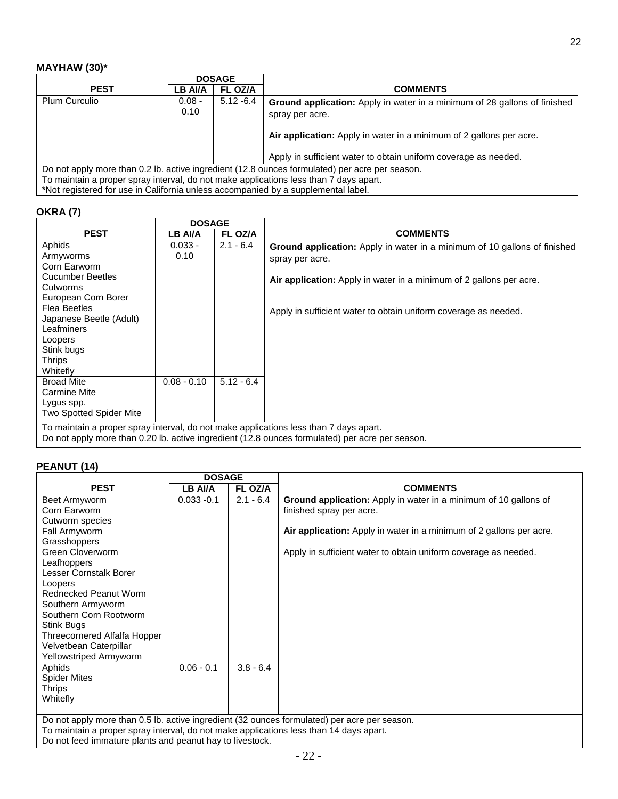## **MAYHAW (30)\***

|                                                                                       | <b>DOSAGE</b>    |              |                                                                                                |  |  |  |
|---------------------------------------------------------------------------------------|------------------|--------------|------------------------------------------------------------------------------------------------|--|--|--|
| <b>PEST</b>                                                                           | LB AI/A          | FL OZ/A      | <b>COMMENTS</b>                                                                                |  |  |  |
| <b>Plum Curculio</b>                                                                  | $0.08 -$<br>0.10 | $5.12 - 6.4$ | Ground application: Apply in water in a minimum of 28 gallons of finished<br>spray per acre.   |  |  |  |
|                                                                                       |                  |              | Air application: Apply in water in a minimum of 2 gallons per acre.                            |  |  |  |
|                                                                                       |                  |              | Apply in sufficient water to obtain uniform coverage as needed.                                |  |  |  |
|                                                                                       |                  |              | Do not apply more than 0.2 lb. active ingredient (12.8 ounces formulated) per acre per season. |  |  |  |
| To maintain a proper spray interval, do not make applications less than 7 days apart. |                  |              |                                                                                                |  |  |  |
| *Not registered for use in California unless accompanied by a supplemental label.     |                  |              |                                                                                                |  |  |  |

## **OKRA (7)**

|                                 | <b>DOSAGE</b>                                                                                   |              |                                                                                       |  |  |  |  |
|---------------------------------|-------------------------------------------------------------------------------------------------|--------------|---------------------------------------------------------------------------------------|--|--|--|--|
| <b>PEST</b>                     | LB AI/A                                                                                         | FL OZ/A      | <b>COMMENTS</b>                                                                       |  |  |  |  |
| Aphids                          | $0.033 -$                                                                                       | $2.1 - 6.4$  | <b>Ground application:</b> Apply in water in a minimum of 10 gallons of finished      |  |  |  |  |
| Armyworms                       | 0.10                                                                                            |              | spray per acre.                                                                       |  |  |  |  |
| Corn Earworm                    |                                                                                                 |              |                                                                                       |  |  |  |  |
| <b>Cucumber Beetles</b>         |                                                                                                 |              | Air application: Apply in water in a minimum of 2 gallons per acre.                   |  |  |  |  |
| Cutworms<br>European Corn Borer |                                                                                                 |              |                                                                                       |  |  |  |  |
| <b>Flea Beetles</b>             |                                                                                                 |              |                                                                                       |  |  |  |  |
| Japanese Beetle (Adult)         |                                                                                                 |              | Apply in sufficient water to obtain uniform coverage as needed.                       |  |  |  |  |
| Leafminers                      |                                                                                                 |              |                                                                                       |  |  |  |  |
| Loopers                         |                                                                                                 |              |                                                                                       |  |  |  |  |
| Stink bugs                      |                                                                                                 |              |                                                                                       |  |  |  |  |
| <b>Thrips</b>                   |                                                                                                 |              |                                                                                       |  |  |  |  |
| Whitefly                        |                                                                                                 |              |                                                                                       |  |  |  |  |
| <b>Broad Mite</b>               | $0.08 - 0.10$                                                                                   | $5.12 - 6.4$ |                                                                                       |  |  |  |  |
| Carmine Mite                    |                                                                                                 |              |                                                                                       |  |  |  |  |
| Lygus spp.                      |                                                                                                 |              |                                                                                       |  |  |  |  |
| <b>Two Spotted Spider Mite</b>  |                                                                                                 |              |                                                                                       |  |  |  |  |
|                                 |                                                                                                 |              | To maintain a proper spray interval, do not make applications less than 7 days apart. |  |  |  |  |
|                                 | Do not apply more than 0.20 lb. active ingredient (12.8 ounces formulated) per acre per season. |              |                                                                                       |  |  |  |  |

### **PEANUT (14)**

|                                                                                         | <b>DOSAGE</b> |                |                                                                                              |  |  |
|-----------------------------------------------------------------------------------------|---------------|----------------|----------------------------------------------------------------------------------------------|--|--|
| <b>PEST</b>                                                                             | LB AI/A       | <b>FL OZ/A</b> | <b>COMMENTS</b>                                                                              |  |  |
| Beet Armyworm                                                                           | $0.033 - 0.1$ | $2.1 - 6.4$    | <b>Ground application:</b> Apply in water in a minimum of 10 gallons of                      |  |  |
| Corn Earworm                                                                            |               |                | finished spray per acre.                                                                     |  |  |
| Cutworm species                                                                         |               |                |                                                                                              |  |  |
| Fall Armyworm                                                                           |               |                | Air application: Apply in water in a minimum of 2 gallons per acre.                          |  |  |
| Grasshoppers                                                                            |               |                |                                                                                              |  |  |
| Green Cloverworm                                                                        |               |                | Apply in sufficient water to obtain uniform coverage as needed.                              |  |  |
| Leafhoppers                                                                             |               |                |                                                                                              |  |  |
| Lesser Cornstalk Borer                                                                  |               |                |                                                                                              |  |  |
| Loopers                                                                                 |               |                |                                                                                              |  |  |
| Rednecked Peanut Worm                                                                   |               |                |                                                                                              |  |  |
| Southern Armyworm                                                                       |               |                |                                                                                              |  |  |
| Southern Corn Rootworm                                                                  |               |                |                                                                                              |  |  |
| Stink Bugs                                                                              |               |                |                                                                                              |  |  |
| Threecornered Alfalfa Hopper                                                            |               |                |                                                                                              |  |  |
| Velvetbean Caterpillar                                                                  |               |                |                                                                                              |  |  |
| Yellowstriped Armyworm                                                                  |               |                |                                                                                              |  |  |
| Aphids                                                                                  | $0.06 - 0.1$  | $3.8 - 6.4$    |                                                                                              |  |  |
| <b>Spider Mites</b>                                                                     |               |                |                                                                                              |  |  |
| Thrips                                                                                  |               |                |                                                                                              |  |  |
| Whitefly                                                                                |               |                |                                                                                              |  |  |
|                                                                                         |               |                | Do not apply more than 0.5 lb. active ingredient (32 ounces formulated) per acre per season. |  |  |
| Ta maintain a nuanar annsu internal, de naturales annlications less than 4.4 deus annul |               |                |                                                                                              |  |  |

To maintain a proper spray interval, do not make applications less than 14 days apart. Do not feed immature plants and peanut hay to livestock.

22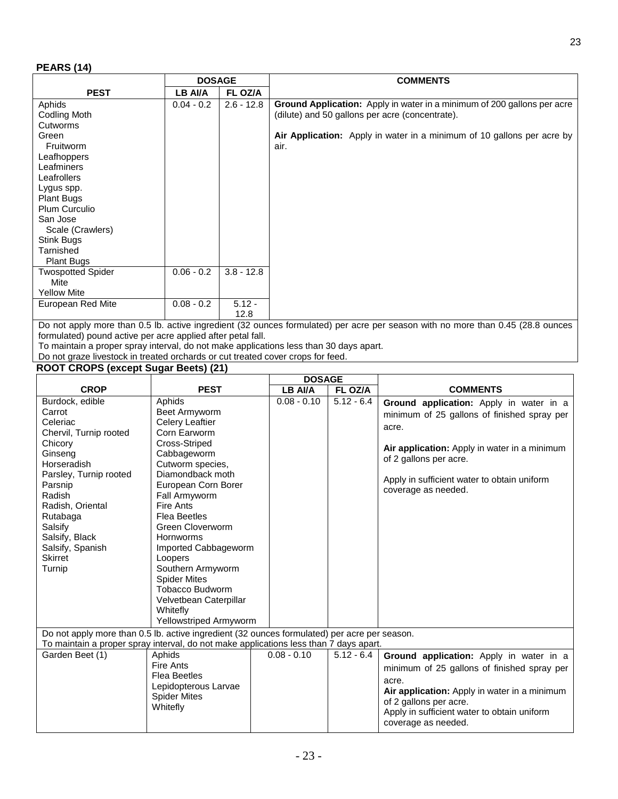## **PEARS (14)**

|                          | <b>DOSAGE</b> |              | <b>COMMENTS</b>                                                                                                                 |
|--------------------------|---------------|--------------|---------------------------------------------------------------------------------------------------------------------------------|
| <b>PEST</b>              | LB AI/A       | FL OZ/A      |                                                                                                                                 |
| Aphids                   | $0.04 - 0.2$  | $2.6 - 12.8$ | <b>Ground Application:</b> Apply in water in a minimum of 200 gallons per acre                                                  |
| <b>Codling Moth</b>      |               |              | (dilute) and 50 gallons per acre (concentrate).                                                                                 |
| Cutworms                 |               |              |                                                                                                                                 |
| Green                    |               |              | Air Application: Apply in water in a minimum of 10 gallons per acre by                                                          |
| Fruitworm                |               |              | air.                                                                                                                            |
| Leafhoppers              |               |              |                                                                                                                                 |
| Leafminers               |               |              |                                                                                                                                 |
| Leafrollers              |               |              |                                                                                                                                 |
| Lygus spp.               |               |              |                                                                                                                                 |
| <b>Plant Bugs</b>        |               |              |                                                                                                                                 |
| <b>Plum Curculio</b>     |               |              |                                                                                                                                 |
| San Jose                 |               |              |                                                                                                                                 |
| Scale (Crawlers)         |               |              |                                                                                                                                 |
| Stink Bugs               |               |              |                                                                                                                                 |
| Tarnished                |               |              |                                                                                                                                 |
| <b>Plant Bugs</b>        |               |              |                                                                                                                                 |
| <b>Twospotted Spider</b> | $0.06 - 0.2$  | $3.8 - 12.8$ |                                                                                                                                 |
| Mite                     |               |              |                                                                                                                                 |
| <b>Yellow Mite</b>       |               |              |                                                                                                                                 |
| European Red Mite        | $0.08 - 0.2$  | $5.12 -$     |                                                                                                                                 |
|                          |               | 12.8         |                                                                                                                                 |
|                          |               |              | Do not apply more than 0.5 lb. active ingredient (32 ounces formulated) per acre per season with no more than 0.45 (28.8 ounces |

formulated) pound active per acre applied after petal fall.

To maintain a proper spray interval, do not make applications less than 30 days apart.

Do not graze livestock in treated orchards or cut treated cover crops for feed.

## **ROOT CROPS (except Sugar Beets) (21)**

|                        |                                                                                              |               | <b>DOSAGE</b> |              |                                              |
|------------------------|----------------------------------------------------------------------------------------------|---------------|---------------|--------------|----------------------------------------------|
| <b>CROP</b>            | <b>PEST</b>                                                                                  |               | LB AI/A       | FL OZ/A      | <b>COMMENTS</b>                              |
| Burdock, edible        | Aphids                                                                                       | $0.08 - 0.10$ |               | $5.12 - 6.4$ | Ground application: Apply in water in a      |
| Carrot                 | Beet Armyworm                                                                                |               |               |              | minimum of 25 gallons of finished spray per  |
| Celeriac               | Celery Leaftier                                                                              |               |               |              | acre.                                        |
| Chervil, Turnip rooted | Corn Earworm                                                                                 |               |               |              |                                              |
| Chicory                | Cross-Striped                                                                                |               |               |              | Air application: Apply in water in a minimum |
| Ginseng                | Cabbageworm                                                                                  |               |               |              | of 2 gallons per acre.                       |
| Horseradish            | Cutworm species,                                                                             |               |               |              |                                              |
| Parsley, Turnip rooted | Diamondback moth                                                                             |               |               |              | Apply in sufficient water to obtain uniform  |
| Parsnip                | European Corn Borer                                                                          |               |               |              | coverage as needed.                          |
| Radish                 | Fall Armyworm                                                                                |               |               |              |                                              |
| Radish, Oriental       | Fire Ants                                                                                    |               |               |              |                                              |
| Rutabaga               | <b>Flea Beetles</b>                                                                          |               |               |              |                                              |
| Salsify                | <b>Green Cloverworm</b>                                                                      |               |               |              |                                              |
| Salsify, Black         | <b>Hornworms</b>                                                                             |               |               |              |                                              |
| Salsify, Spanish       | Imported Cabbageworm                                                                         |               |               |              |                                              |
| <b>Skirret</b>         | Loopers                                                                                      |               |               |              |                                              |
| Turnip                 | Southern Armyworm                                                                            |               |               |              |                                              |
|                        | <b>Spider Mites</b>                                                                          |               |               |              |                                              |
|                        | Tobacco Budworm                                                                              |               |               |              |                                              |
|                        | Velvetbean Caterpillar                                                                       |               |               |              |                                              |
|                        | Whitefly                                                                                     |               |               |              |                                              |
|                        | Yellowstriped Armyworm                                                                       |               |               |              |                                              |
|                        | Do not apply more than 0.5 lb. active ingredient (32 ounces formulated) per acre per season. |               |               |              |                                              |
|                        | To maintain a proper spray interval, do not make applications less than 7 days apart.        |               |               |              |                                              |
| Garden Beet (1)        | Aphids                                                                                       | $0.08 - 0.10$ |               | $5.12 - 6.4$ | Ground application: Apply in water in a      |
|                        | <b>Fire Ants</b>                                                                             |               |               |              | minimum of 25 gallons of finished spray per  |
|                        | <b>Flea Beetles</b>                                                                          |               |               |              | acre.                                        |
|                        | Lepidopterous Larvae                                                                         |               |               |              | Air application: Apply in water in a minimum |
|                        | <b>Spider Mites</b>                                                                          |               |               |              | of 2 gallons per acre.                       |
|                        | Whitefly                                                                                     |               |               |              | Apply in sufficient water to obtain uniform  |
|                        |                                                                                              |               |               |              | coverage as needed.                          |
|                        |                                                                                              |               |               |              |                                              |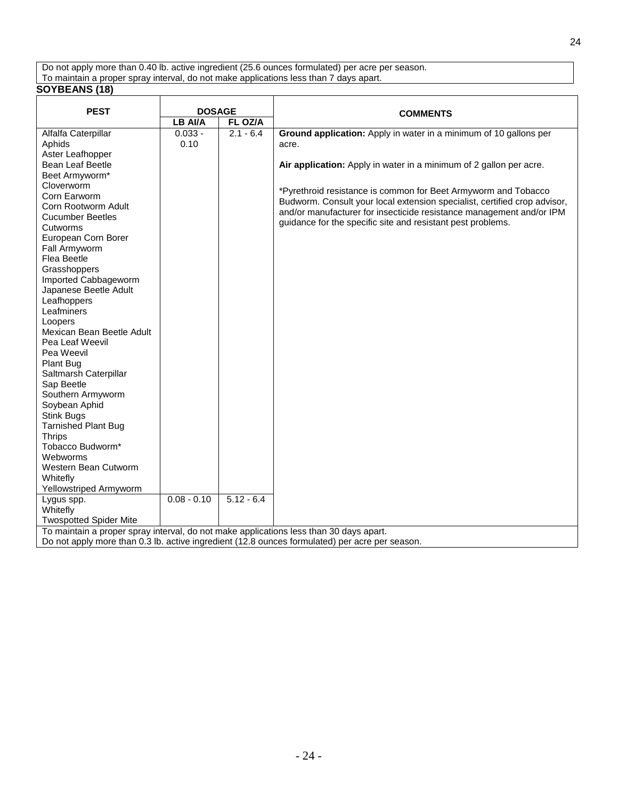Do not apply more than 0.40 lb. active ingredient (25.6 ounces formulated) per acre per season. To maintain a proper spray interval, do not make applications less than 7 days apart.

## **SOYBEANS (18)**

| <b>PEST</b>                                                                                                                                                                                                                                                                                                                                                                                                                                                                                                                                                                                                                                                                                                                                     | <b>DOSAGE</b>                      |                             |                                                                                                                                                                                                                                                                                                                                                                                                                                        |  |  |  |
|-------------------------------------------------------------------------------------------------------------------------------------------------------------------------------------------------------------------------------------------------------------------------------------------------------------------------------------------------------------------------------------------------------------------------------------------------------------------------------------------------------------------------------------------------------------------------------------------------------------------------------------------------------------------------------------------------------------------------------------------------|------------------------------------|-----------------------------|----------------------------------------------------------------------------------------------------------------------------------------------------------------------------------------------------------------------------------------------------------------------------------------------------------------------------------------------------------------------------------------------------------------------------------------|--|--|--|
|                                                                                                                                                                                                                                                                                                                                                                                                                                                                                                                                                                                                                                                                                                                                                 | LB AI/A                            | FL OZ/A                     | <b>COMMENTS</b>                                                                                                                                                                                                                                                                                                                                                                                                                        |  |  |  |
| Alfalfa Caterpillar<br>Aphids<br>Aster Leafhopper<br>Bean Leaf Beetle<br>Beet Armyworm*<br>Cloverworm<br>Corn Earworm<br>Corn Rootworm Adult<br><b>Cucumber Beetles</b><br>Cutworms<br>European Corn Borer<br>Fall Armyworm<br><b>Flea Beetle</b><br>Grasshoppers<br>Imported Cabbageworm<br>Japanese Beetle Adult<br>Leafhoppers<br>Leafminers<br>Loopers<br>Mexican Bean Beetle Adult<br>Pea Leaf Weevil<br>Pea Weevil<br>Plant Bug<br>Saltmarsh Caterpillar<br>Sap Beetle<br>Southern Armyworm<br>Soybean Aphid<br><b>Stink Bugs</b><br><b>Tarnished Plant Bug</b><br><b>Thrips</b><br>Tobacco Budworm*<br>Webworms<br>Western Bean Cutworm<br>Whitefly<br>Yellowstriped Armyworm<br>Lygus spp.<br>Whitefly<br><b>Twospotted Spider Mite</b> | $0.033 -$<br>0.10<br>$0.08 - 0.10$ | $2.1 - 6.4$<br>$5.12 - 6.4$ | Ground application: Apply in water in a minimum of 10 gallons per<br>acre.<br>Air application: Apply in water in a minimum of 2 gallon per acre.<br>*Pyrethroid resistance is common for Beet Armyworm and Tobacco<br>Budworm. Consult your local extension specialist, certified crop advisor,<br>and/or manufacturer for insecticide resistance management and/or IPM<br>guidance for the specific site and resistant pest problems. |  |  |  |
| To maintain a proper spray interval, do not make applications less than 30 days apart.                                                                                                                                                                                                                                                                                                                                                                                                                                                                                                                                                                                                                                                          |                                    |                             |                                                                                                                                                                                                                                                                                                                                                                                                                                        |  |  |  |
| Do not apply more than 0.3 lb. active ingredient (12.8 ounces formulated) per acre per season.                                                                                                                                                                                                                                                                                                                                                                                                                                                                                                                                                                                                                                                  |                                    |                             |                                                                                                                                                                                                                                                                                                                                                                                                                                        |  |  |  |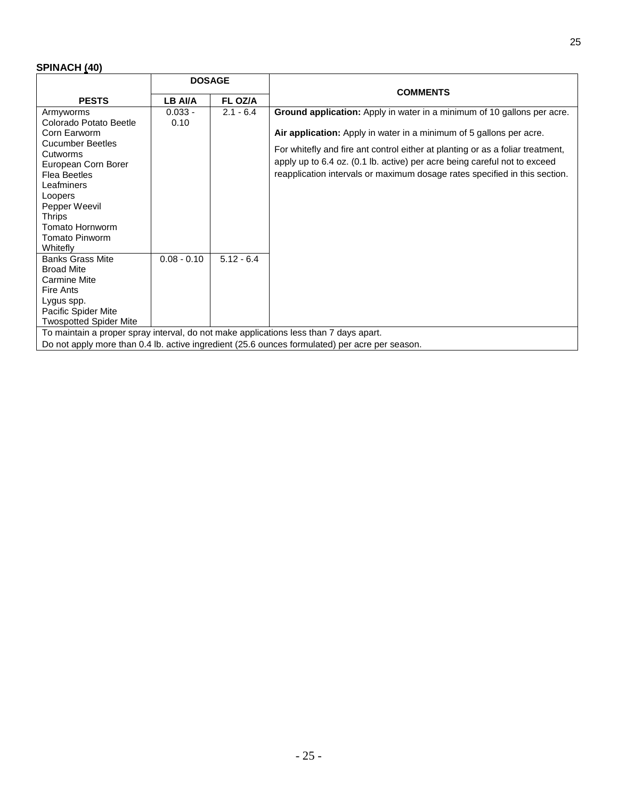## **SPINACH (40)**

|                                                                                                | <b>DOSAGE</b> |              |                                                                                       |  |  |  |
|------------------------------------------------------------------------------------------------|---------------|--------------|---------------------------------------------------------------------------------------|--|--|--|
| <b>PESTS</b>                                                                                   | LB AI/A       | FL OZ/A      | <b>COMMENTS</b>                                                                       |  |  |  |
| Armyworms                                                                                      | $0.033 -$     | $2.1 - 6.4$  | Ground application: Apply in water in a minimum of 10 gallons per acre.               |  |  |  |
| Colorado Potato Beetle                                                                         | 0.10          |              |                                                                                       |  |  |  |
| Corn Earworm                                                                                   |               |              | Air application: Apply in water in a minimum of 5 gallons per acre.                   |  |  |  |
| <b>Cucumber Beetles</b><br>Cutworms                                                            |               |              | For whitefly and fire ant control either at planting or as a foliar treatment,        |  |  |  |
| European Corn Borer                                                                            |               |              | apply up to 6.4 oz. (0.1 lb. active) per acre being careful not to exceed             |  |  |  |
| <b>Flea Beetles</b>                                                                            |               |              | reapplication intervals or maximum dosage rates specified in this section.            |  |  |  |
| Leafminers                                                                                     |               |              |                                                                                       |  |  |  |
| Loopers                                                                                        |               |              |                                                                                       |  |  |  |
| Pepper Weevil                                                                                  |               |              |                                                                                       |  |  |  |
| <b>Thrips</b>                                                                                  |               |              |                                                                                       |  |  |  |
| Tomato Hornworm<br>Tomato Pinworm                                                              |               |              |                                                                                       |  |  |  |
| Whitefly                                                                                       |               |              |                                                                                       |  |  |  |
| <b>Banks Grass Mite</b>                                                                        | $0.08 - 0.10$ | $5.12 - 6.4$ |                                                                                       |  |  |  |
| <b>Broad Mite</b>                                                                              |               |              |                                                                                       |  |  |  |
| <b>Carmine Mite</b>                                                                            |               |              |                                                                                       |  |  |  |
| Fire Ants                                                                                      |               |              |                                                                                       |  |  |  |
| Lygus spp.                                                                                     |               |              |                                                                                       |  |  |  |
| Pacific Spider Mite                                                                            |               |              |                                                                                       |  |  |  |
| <b>Twospotted Spider Mite</b>                                                                  |               |              |                                                                                       |  |  |  |
|                                                                                                |               |              | To maintain a proper spray interval, do not make applications less than 7 days apart. |  |  |  |
| Do not apply more than 0.4 lb. active ingredient (25.6 ounces formulated) per acre per season. |               |              |                                                                                       |  |  |  |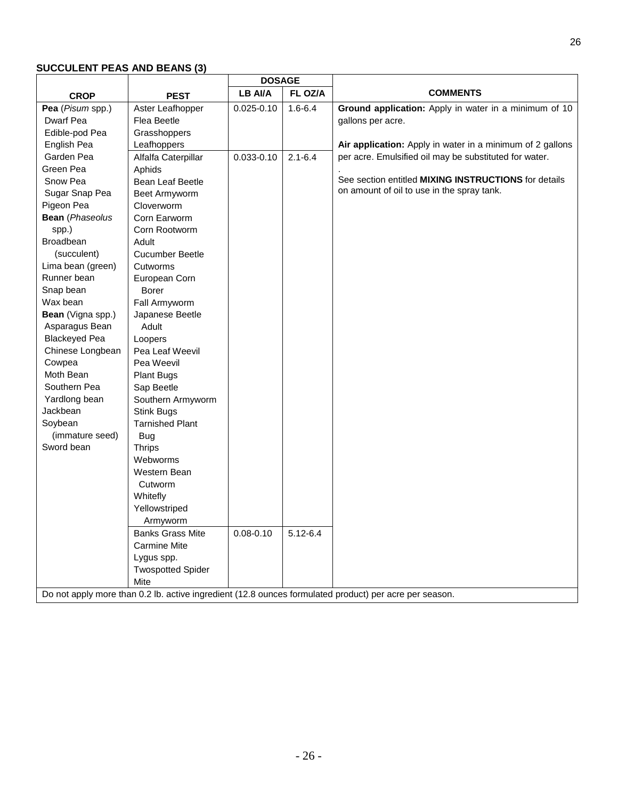## **SUCCULENT PEAS AND BEANS (3)**

|                        |                          | <b>DOSAGE</b>  |              |                                                                                                        |  |  |
|------------------------|--------------------------|----------------|--------------|--------------------------------------------------------------------------------------------------------|--|--|
| <b>CROP</b>            | <b>PEST</b>              | LB AI/A        | FL OZ/A      | <b>COMMENTS</b>                                                                                        |  |  |
| Pea (Pisum spp.)       | Aster Leafhopper         | $0.025 - 0.10$ | $1.6 - 6.4$  | Ground application: Apply in water in a minimum of 10                                                  |  |  |
| Dwarf Pea              | Flea Beetle              |                |              | gallons per acre.                                                                                      |  |  |
| Edible-pod Pea         | Grasshoppers             |                |              |                                                                                                        |  |  |
| English Pea            | Leafhoppers              |                |              | Air application: Apply in water in a minimum of 2 gallons                                              |  |  |
| Garden Pea             | Alfalfa Caterpillar      | $0.033 - 0.10$ | $2.1 - 6.4$  | per acre. Emulsified oil may be substituted for water.                                                 |  |  |
| Green Pea              | Aphids                   |                |              |                                                                                                        |  |  |
| Snow Pea               | Bean Leaf Beetle         |                |              | See section entitled <b>MIXING INSTRUCTIONS</b> for details                                            |  |  |
| Sugar Snap Pea         | Beet Armyworm            |                |              | on amount of oil to use in the spray tank.                                                             |  |  |
| Pigeon Pea             | Cloverworm               |                |              |                                                                                                        |  |  |
| <b>Bean</b> (Phaseolus | Corn Earworm             |                |              |                                                                                                        |  |  |
| spp.)                  | Corn Rootworm            |                |              |                                                                                                        |  |  |
| Broadbean              | Adult                    |                |              |                                                                                                        |  |  |
| (succulent)            | <b>Cucumber Beetle</b>   |                |              |                                                                                                        |  |  |
| Lima bean (green)      | Cutworms                 |                |              |                                                                                                        |  |  |
| Runner bean            | European Corn            |                |              |                                                                                                        |  |  |
| Snap bean              | <b>Borer</b>             |                |              |                                                                                                        |  |  |
| Wax bean               | Fall Armyworm            |                |              |                                                                                                        |  |  |
| Bean (Vigna spp.)      | Japanese Beetle          |                |              |                                                                                                        |  |  |
| Asparagus Bean         | Adult                    |                |              |                                                                                                        |  |  |
| <b>Blackeyed Pea</b>   | Loopers                  |                |              |                                                                                                        |  |  |
| Chinese Longbean       | Pea Leaf Weevil          |                |              |                                                                                                        |  |  |
| Cowpea                 | Pea Weevil               |                |              |                                                                                                        |  |  |
| Moth Bean              | <b>Plant Bugs</b>        |                |              |                                                                                                        |  |  |
| Southern Pea           | Sap Beetle               |                |              |                                                                                                        |  |  |
| Yardlong bean          | Southern Armyworm        |                |              |                                                                                                        |  |  |
| Jackbean               | Stink Bugs               |                |              |                                                                                                        |  |  |
| Soybean                | <b>Tarnished Plant</b>   |                |              |                                                                                                        |  |  |
| (immature seed)        | Bug                      |                |              |                                                                                                        |  |  |
| Sword bean             | <b>Thrips</b>            |                |              |                                                                                                        |  |  |
|                        | Webworms                 |                |              |                                                                                                        |  |  |
|                        | Western Bean             |                |              |                                                                                                        |  |  |
|                        | Cutworm                  |                |              |                                                                                                        |  |  |
|                        | Whitefly                 |                |              |                                                                                                        |  |  |
|                        | Yellowstriped            |                |              |                                                                                                        |  |  |
|                        | Armyworm                 |                |              |                                                                                                        |  |  |
|                        | <b>Banks Grass Mite</b>  | $0.08 - 0.10$  | $5.12 - 6.4$ |                                                                                                        |  |  |
|                        | <b>Carmine Mite</b>      |                |              |                                                                                                        |  |  |
|                        | Lygus spp.               |                |              |                                                                                                        |  |  |
|                        | <b>Twospotted Spider</b> |                |              |                                                                                                        |  |  |
|                        | Mite                     |                |              |                                                                                                        |  |  |
|                        |                          |                |              | Do not apply more than 0.2 lb. active ingredient (12.8 ounces formulated product) per acre per season. |  |  |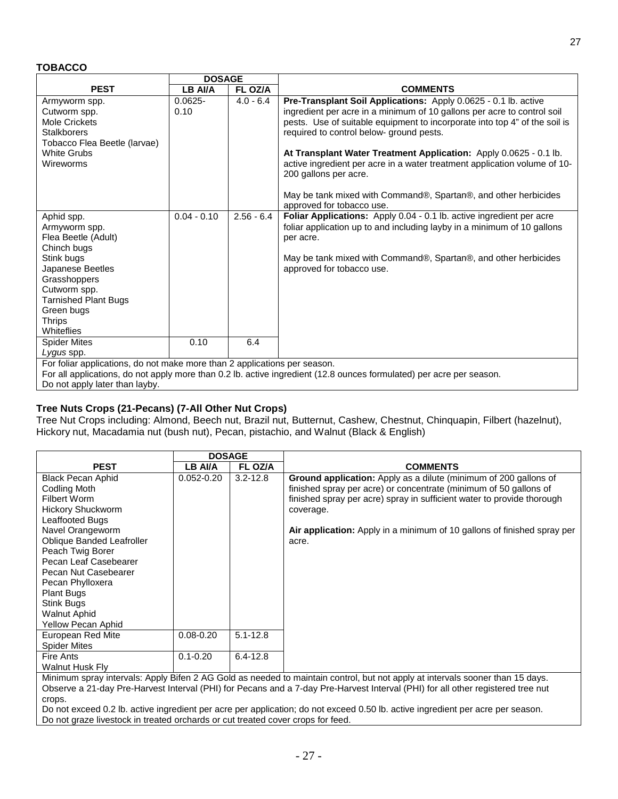### **TOBACCO**

|                                                                                                                                                                                                                 | <b>DOSAGE</b>      |              |                                                                                                                                                                                                                                                                                                                                                                                                                                                                                                                                                 |  |  |
|-----------------------------------------------------------------------------------------------------------------------------------------------------------------------------------------------------------------|--------------------|--------------|-------------------------------------------------------------------------------------------------------------------------------------------------------------------------------------------------------------------------------------------------------------------------------------------------------------------------------------------------------------------------------------------------------------------------------------------------------------------------------------------------------------------------------------------------|--|--|
| <b>PEST</b>                                                                                                                                                                                                     | LB AI/A            | FL OZ/A      | <b>COMMENTS</b>                                                                                                                                                                                                                                                                                                                                                                                                                                                                                                                                 |  |  |
| Armyworm spp.<br>Cutworm spp.<br><b>Mole Crickets</b><br><b>Stalkborers</b><br>Tobacco Flea Beetle (larvae)<br><b>White Grubs</b><br>Wireworms                                                                  | $0.0625 -$<br>0.10 | $4.0 - 6.4$  | Pre-Transplant Soil Applications: Apply 0.0625 - 0.1 lb. active<br>ingredient per acre in a minimum of 10 gallons per acre to control soil<br>pests. Use of suitable equipment to incorporate into top 4" of the soil is<br>required to control below- ground pests.<br>At Transplant Water Treatment Application: Apply 0.0625 - 0.1 lb.<br>active ingredient per acre in a water treatment application volume of 10-<br>200 gallons per acre.<br>May be tank mixed with Command®, Spartan®, and other herbicides<br>approved for tobacco use. |  |  |
| Aphid spp.<br>Armyworm spp.<br>Flea Beetle (Adult)<br>Chinch bugs<br>Stink bugs<br>Japanese Beetles<br>Grasshoppers<br>Cutworm spp.<br><b>Tarnished Plant Bugs</b><br>Green bugs<br><b>Thrips</b><br>Whiteflies | $0.04 - 0.10$      | $2.56 - 6.4$ | Foliar Applications: Apply 0.04 - 0.1 lb. active ingredient per acre<br>foliar application up to and including layby in a minimum of 10 gallons<br>per acre.<br>May be tank mixed with Command®, Spartan®, and other herbicides<br>approved for tobacco use.                                                                                                                                                                                                                                                                                    |  |  |
| <b>Spider Mites</b><br>Lygus spp.                                                                                                                                                                               | 0.10               | 6.4          |                                                                                                                                                                                                                                                                                                                                                                                                                                                                                                                                                 |  |  |
| For foliar applications, do not make more than 2 applications per season.<br>Do not apply later than layby.                                                                                                     |                    |              | For all applications, do not apply more than 0.2 lb. active ingredient (12.8 ounces formulated) per acre per season.                                                                                                                                                                                                                                                                                                                                                                                                                            |  |  |

## **Tree Nuts Crops (21-Pecans) (7-All Other Nut Crops)**

Tree Nut Crops including: Almond, Beech nut, Brazil nut, Butternut, Cashew, Chestnut, Chinquapin, Filbert (hazelnut), Hickory nut, Macadamia nut (bush nut), Pecan, pistachio, and Walnut (Black & English)

| <b>Ground application:</b> Apply as a dilute (minimum of 200 gallons of |
|-------------------------------------------------------------------------|
| finished spray per acre) or concentrate (minimum of 50 gallons of       |
| finished spray per acre) spray in sufficient water to provide thorough  |
|                                                                         |
|                                                                         |
| Air application: Apply in a minimum of 10 gallons of finished spray per |
|                                                                         |
|                                                                         |
|                                                                         |
|                                                                         |
|                                                                         |
|                                                                         |
|                                                                         |
|                                                                         |
|                                                                         |
|                                                                         |
|                                                                         |
|                                                                         |
|                                                                         |
|                                                                         |

Minimum spray intervals: Apply Bifen 2 AG Gold as needed to maintain control, but not apply at intervals sooner than 15 days. Observe a 21-day Pre-Harvest Interval (PHI) for Pecans and a 7-day Pre-Harvest Interval (PHI) for all other registered tree nut crops.

Do not exceed 0.2 lb. active ingredient per acre per application; do not exceed 0.50 lb. active ingredient per acre per season. Do not graze livestock in treated orchards or cut treated cover crops for feed.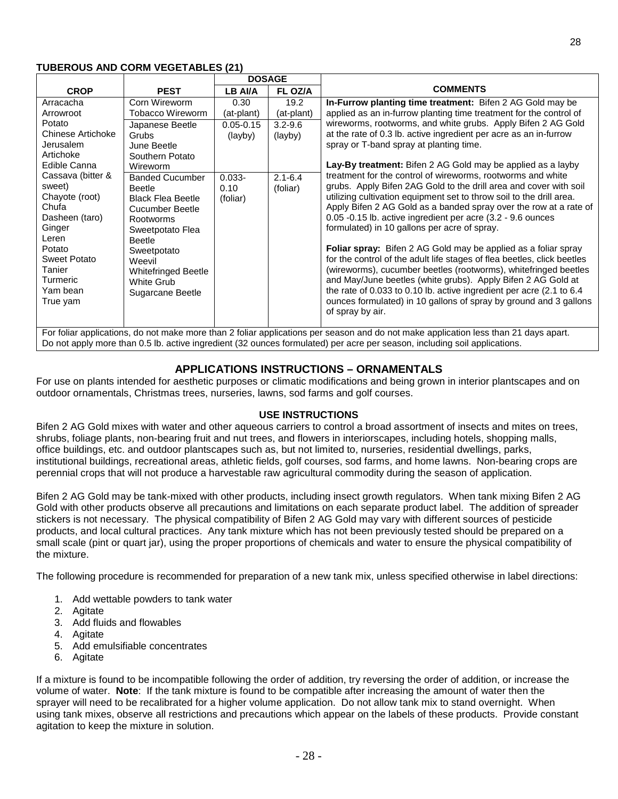### **TUBEROUS AND CORM VEGETABLES (21)**

|                             |                                                                                                                                                                                                                                                                   | <b>DOSAGE</b> |             |                                                                                                                                  |  |  |  |  |
|-----------------------------|-------------------------------------------------------------------------------------------------------------------------------------------------------------------------------------------------------------------------------------------------------------------|---------------|-------------|----------------------------------------------------------------------------------------------------------------------------------|--|--|--|--|
| <b>CROP</b>                 | <b>PEST</b>                                                                                                                                                                                                                                                       | LB AVA        | FL OZ/A     | <b>COMMENTS</b>                                                                                                                  |  |  |  |  |
| Arracacha                   | Corn Wireworm                                                                                                                                                                                                                                                     | 0.30          | 19.2        | In-Furrow planting time treatment: Bifen 2 AG Gold may be                                                                        |  |  |  |  |
| Arrowroot                   | Tobacco Wireworm                                                                                                                                                                                                                                                  | (at-plant)    | (at-plant)  | applied as an in-furrow planting time treatment for the control of                                                               |  |  |  |  |
| Potato                      | Japanese Beetle                                                                                                                                                                                                                                                   | $0.05 - 0.15$ | $3.2 - 9.6$ | wireworms, rootworms, and white grubs. Apply Bifen 2 AG Gold                                                                     |  |  |  |  |
| Chinese Artichoke           | Grubs                                                                                                                                                                                                                                                             | (layby)       | (layby)     | at the rate of 0.3 lb. active ingredient per acre as an in-furrow                                                                |  |  |  |  |
| Jerusalem                   | June Beetle                                                                                                                                                                                                                                                       |               |             | spray or T-band spray at planting time.                                                                                          |  |  |  |  |
| Artichoke                   | Southern Potato                                                                                                                                                                                                                                                   |               |             |                                                                                                                                  |  |  |  |  |
| Edible Canna                | Wireworm                                                                                                                                                                                                                                                          |               |             | Lay-By treatment: Bifen 2 AG Gold may be applied as a layby                                                                      |  |  |  |  |
| Cassava (bitter &<br>sweet) | <b>Banded Cucumber</b>                                                                                                                                                                                                                                            | $0.033 -$     | $2.1 - 6.4$ | treatment for the control of wireworms, rootworms and white<br>grubs. Apply Bifen 2AG Gold to the drill area and cover with soil |  |  |  |  |
| Chayote (root)              | <b>Beetle</b>                                                                                                                                                                                                                                                     | 0.10          | (foliar)    | utilizing cultivation equipment set to throw soil to the drill area.                                                             |  |  |  |  |
| Chufa                       | <b>Black Flea Beetle</b><br>Cucumber Beetle                                                                                                                                                                                                                       | (foliar)      |             | Apply Bifen 2 AG Gold as a banded spray over the row at a rate of                                                                |  |  |  |  |
| Dasheen (taro)              | <b>Rootworms</b>                                                                                                                                                                                                                                                  |               |             | 0.05 -0.15 lb. active ingredient per acre (3.2 - 9.6 ounces                                                                      |  |  |  |  |
| Ginger                      | Sweetpotato Flea                                                                                                                                                                                                                                                  |               |             | formulated) in 10 gallons per acre of spray.                                                                                     |  |  |  |  |
| Leren                       | Beetle                                                                                                                                                                                                                                                            |               |             |                                                                                                                                  |  |  |  |  |
| Potato                      | Sweetpotato                                                                                                                                                                                                                                                       |               |             | Foliar spray: Bifen 2 AG Gold may be applied as a foliar spray                                                                   |  |  |  |  |
| <b>Sweet Potato</b>         | Weevil                                                                                                                                                                                                                                                            |               |             | for the control of the adult life stages of flea beetles, click beetles                                                          |  |  |  |  |
| Tanier                      | Whitefringed Beetle                                                                                                                                                                                                                                               |               |             | (wireworms), cucumber beetles (rootworms), whitefringed beetles                                                                  |  |  |  |  |
| Turmeric                    | White Grub                                                                                                                                                                                                                                                        |               |             | and May/June beetles (white grubs). Apply Bifen 2 AG Gold at                                                                     |  |  |  |  |
| Yam bean                    | Sugarcane Beetle                                                                                                                                                                                                                                                  |               |             | the rate of 0.033 to 0.10 lb. active ingredient per acre (2.1 to 6.4)                                                            |  |  |  |  |
| True yam                    |                                                                                                                                                                                                                                                                   |               |             | ounces formulated) in 10 gallons of spray by ground and 3 gallons                                                                |  |  |  |  |
|                             |                                                                                                                                                                                                                                                                   |               |             | of spray by air.                                                                                                                 |  |  |  |  |
|                             |                                                                                                                                                                                                                                                                   |               |             |                                                                                                                                  |  |  |  |  |
|                             | For foliar applications, do not make more than 2 foliar applications per season and do not make application less than 21 days apart.<br>Do not apply more than 0.5 lb. active ingredient (32 ounces formulated) per acre per season, including soil applications. |               |             |                                                                                                                                  |  |  |  |  |

**APPLICATIONS INSTRUCTIONS – ORNAMENTALS**

For use on plants intended for aesthetic purposes or climatic modifications and being grown in interior plantscapes and on outdoor ornamentals, Christmas trees, nurseries, lawns, sod farms and golf courses.

#### **USE INSTRUCTIONS**

Bifen 2 AG Gold mixes with water and other aqueous carriers to control a broad assortment of insects and mites on trees, shrubs, foliage plants, non-bearing fruit and nut trees, and flowers in interiorscapes, including hotels, shopping malls, office buildings, etc. and outdoor plantscapes such as, but not limited to, nurseries, residential dwellings, parks, institutional buildings, recreational areas, athletic fields, golf courses, sod farms, and home lawns. Non-bearing crops are perennial crops that will not produce a harvestable raw agricultural commodity during the season of application.

Bifen 2 AG Gold may be tank-mixed with other products, including insect growth regulators. When tank mixing Bifen 2 AG Gold with other products observe all precautions and limitations on each separate product label. The addition of spreader stickers is not necessary. The physical compatibility of Bifen 2 AG Gold may vary with different sources of pesticide products, and local cultural practices. Any tank mixture which has not been previously tested should be prepared on a small scale (pint or quart jar), using the proper proportions of chemicals and water to ensure the physical compatibility of the mixture.

The following procedure is recommended for preparation of a new tank mix, unless specified otherwise in label directions:

- 1. Add wettable powders to tank water
- 2. Agitate
- 3. Add fluids and flowables
- 4. Agitate
- 5. Add emulsifiable concentrates
- 6. Agitate

If a mixture is found to be incompatible following the order of addition, try reversing the order of addition, or increase the volume of water. **Note**: If the tank mixture is found to be compatible after increasing the amount of water then the sprayer will need to be recalibrated for a higher volume application. Do not allow tank mix to stand overnight. When using tank mixes, observe all restrictions and precautions which appear on the labels of these products. Provide constant agitation to keep the mixture in solution.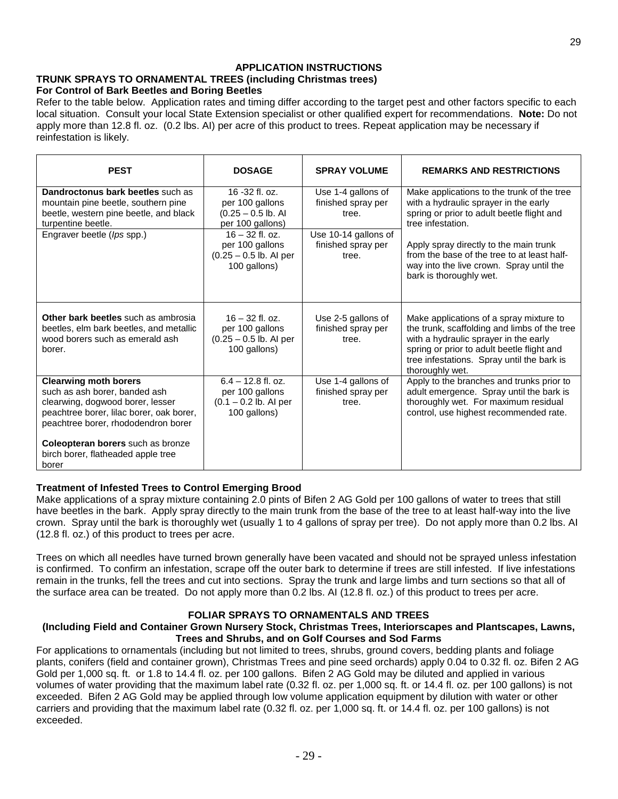#### **APPLICATION INSTRUCTIONS TRUNK SPRAYS TO ORNAMENTAL TREES (including Christmas trees) For Control of Bark Beetles and Boring Beetles**

Refer to the table below. Application rates and timing differ according to the target pest and other factors specific to each local situation. Consult your local State Extension specialist or other qualified expert for recommendations. **Note:** Do not apply more than 12.8 fl. oz. (0.2 lbs. AI) per acre of this product to trees. Repeat application may be necessary if reinfestation is likely.

| <b>PEST</b>                                                                                                                                                                          | <b>DOSAGE</b>                                                                                                                                                        | <b>SPRAY VOLUME</b>                                                                                      | <b>REMARKS AND RESTRICTIONS</b>                                                                                                                                                                                                                                                             |
|--------------------------------------------------------------------------------------------------------------------------------------------------------------------------------------|----------------------------------------------------------------------------------------------------------------------------------------------------------------------|----------------------------------------------------------------------------------------------------------|---------------------------------------------------------------------------------------------------------------------------------------------------------------------------------------------------------------------------------------------------------------------------------------------|
| Dandroctonus bark beetles such as<br>mountain pine beetle, southern pine<br>beetle, western pine beetle, and black<br>turpentine beetle.<br>Engraver beetle (Ips spp.)               | 16 - 32 fl. oz.<br>per 100 gallons<br>$(0.25 - 0.5)$ lb. Al<br>per 100 gallons)<br>$16 - 32$ fl. oz.<br>per 100 gallons<br>$(0.25 - 0.5)$ lb. Al per<br>100 gallons) | Use 1-4 gallons of<br>finished spray per<br>tree.<br>Use 10-14 gallons of<br>finished spray per<br>tree. | Make applications to the trunk of the tree<br>with a hydraulic sprayer in the early<br>spring or prior to adult beetle flight and<br>tree infestation.<br>Apply spray directly to the main trunk<br>from the base of the tree to at least half-<br>way into the live crown. Spray until the |
|                                                                                                                                                                                      |                                                                                                                                                                      |                                                                                                          | bark is thoroughly wet.                                                                                                                                                                                                                                                                     |
| Other bark beetles such as ambrosia<br>beetles, elm bark beetles, and metallic<br>wood borers such as emerald ash<br>borer.                                                          | $16 - 32$ fl. oz.<br>per 100 gallons<br>$(0.25 - 0.5)$ lb. Al per<br>100 gallons)                                                                                    | Use 2-5 gallons of<br>finished spray per<br>tree.                                                        | Make applications of a spray mixture to<br>the trunk, scaffolding and limbs of the tree<br>with a hydraulic sprayer in the early<br>spring or prior to adult beetle flight and<br>tree infestations. Spray until the bark is<br>thoroughly wet.                                             |
| <b>Clearwing moth borers</b><br>such as ash borer, banded ash<br>clearwing, dogwood borer, lesser<br>peachtree borer, lilac borer, oak borer,<br>peachtree borer, rhododendron borer | $6.4 - 12.8$ fl. oz.<br>per 100 gallons<br>$(0.1 - 0.2$ lb. Al per<br>100 gallons)                                                                                   | Use 1-4 gallons of<br>finished spray per<br>tree.                                                        | Apply to the branches and trunks prior to<br>adult emergence. Spray until the bark is<br>thoroughly wet. For maximum residual<br>control, use highest recommended rate.                                                                                                                     |
| Coleopteran borers such as bronze<br>birch borer, flatheaded apple tree<br>borer                                                                                                     |                                                                                                                                                                      |                                                                                                          |                                                                                                                                                                                                                                                                                             |

## **Treatment of Infested Trees to Control Emerging Brood**

Make applications of a spray mixture containing 2.0 pints of Bifen 2 AG Gold per 100 gallons of water to trees that still have beetles in the bark. Apply spray directly to the main trunk from the base of the tree to at least half-way into the live crown. Spray until the bark is thoroughly wet (usually 1 to 4 gallons of spray per tree). Do not apply more than 0.2 lbs. AI (12.8 fl. oz.) of this product to trees per acre.

Trees on which all needles have turned brown generally have been vacated and should not be sprayed unless infestation is confirmed. To confirm an infestation, scrape off the outer bark to determine if trees are still infested. If live infestations remain in the trunks, fell the trees and cut into sections. Spray the trunk and large limbs and turn sections so that all of the surface area can be treated. Do not apply more than 0.2 lbs. AI (12.8 fl. oz.) of this product to trees per acre.

## **FOLIAR SPRAYS TO ORNAMENTALS AND TREES**

### **(Including Field and Container Grown Nursery Stock, Christmas Trees, Interiorscapes and Plantscapes, Lawns, Trees and Shrubs, and on Golf Courses and Sod Farms**

For applications to ornamentals (including but not limited to trees, shrubs, ground covers, bedding plants and foliage plants, conifers (field and container grown), Christmas Trees and pine seed orchards) apply 0.04 to 0.32 fl. oz. Bifen 2 AG Gold per 1,000 sq. ft. or 1,8 to 14.4 fl. oz. per 100 gallons. Bifen 2 AG Gold may be diluted and applied in various volumes of water providing that the maximum label rate (0.32 fl. oz. per 1,000 sq. ft. or 14.4 fl. oz. per 100 gallons) is not exceeded. Bifen 2 AG Gold may be applied through low volume application equipment by dilution with water or other carriers and providing that the maximum label rate (0.32 fl. oz. per 1,000 sq. ft. or 14.4 fl. oz. per 100 gallons) is not exceeded.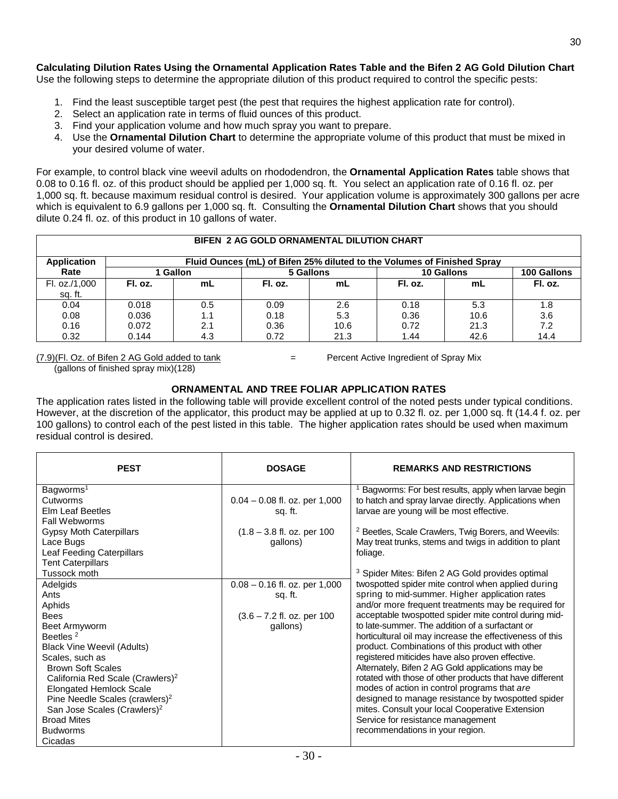#### **Calculating Dilution Rates Using the Ornamental Application Rates Table and the Bifen 2 AG Gold Dilution Chart** Use the following steps to determine the appropriate dilution of this product required to control the specific pests:

- 1. Find the least susceptible target pest (the pest that requires the highest application rate for control).
- 2. Select an application rate in terms of fluid ounces of this product.
- 3. Find your application volume and how much spray you want to prepare.
- 4. Use the **Ornamental Dilution Chart** to determine the appropriate volume of this product that must be mixed in your desired volume of water.

For example, to control black vine weevil adults on rhododendron, the **Ornamental Application Rates** table shows that 0.08 to 0.16 fl. oz. of this product should be applied per 1,000 sq. ft. You select an application rate of 0.16 fl. oz. per 1,000 sq. ft. because maximum residual control is desired. Your application volume is approximately 300 gallons per acre which is equivalent to 6.9 gallons per 1,000 sq. ft. Consulting the **Ornamental Dilution Chart** shows that you should dilute 0.24 fl. oz. of this product in 10 gallons of water.

| BIFEN 2 AG GOLD ORNAMENTAL DILUTION CHART                                                     |         |          |           |      |                   |      |             |
|-----------------------------------------------------------------------------------------------|---------|----------|-----------|------|-------------------|------|-------------|
| Fluid Ounces (mL) of Bifen 25% diluted to the Volumes of Finished Spray<br><b>Application</b> |         |          |           |      |                   |      |             |
| Rate                                                                                          |         | 1 Gallon | 5 Gallons |      | <b>10 Gallons</b> |      | 100 Gallons |
| Fl. oz./1,000                                                                                 | Fl. oz. | mL.      | Fl. oz.   | mL   | Fl. oz.           | mL   | Fl. oz.     |
| sq. ft.                                                                                       |         |          |           |      |                   |      |             |
| 0.04                                                                                          | 0.018   | 0.5      | 0.09      | 2.6  | 0.18              | 5.3  | 1.8         |
| 0.08                                                                                          | 0.036   | 1.1      | 0.18      | 5.3  | 0.36              | 10.6 | 3.6         |
| 0.16                                                                                          | 0.072   | 2.1      | 0.36      | 10.6 | 0.72              | 21.3 | 7.2         |
| 0.32                                                                                          | 0.144   | 4.3      | 0.72      | 21.3 | 1.44              | 42.6 | 14.4        |

 $(7.9)$ (Fl. Oz. of Bifen 2 AG Gold added to tank  $=$  Percent Active Ingredient of Spray Mix (gallons of finished spray mix)(128)

## **ORNAMENTAL AND TREE FOLIAR APPLICATION RATES**

The application rates listed in the following table will provide excellent control of the noted pests under typical conditions. However, at the discretion of the applicator, this product may be applied at up to 0.32 fl. oz. per 1,000 sq. ft (14.4 f. oz. per 100 gallons) to control each of the pest listed in this table. The higher application rates should be used when maximum residual control is desired.

| <b>PEST</b>                                  | <b>DOSAGE</b>                   | <b>REMARKS AND RESTRICTIONS</b>                                 |
|----------------------------------------------|---------------------------------|-----------------------------------------------------------------|
| Bagworms <sup>1</sup>                        |                                 | Bagworms: For best results, apply when larvae begin             |
| Cutworms                                     | $0.04 - 0.08$ fl. oz. per 1,000 | to hatch and spray larvae directly. Applications when           |
| Elm Leaf Beetles                             | sq. ft.                         | larvae are young will be most effective.                        |
| <b>Fall Webworms</b>                         |                                 |                                                                 |
| <b>Gypsy Moth Caterpillars</b>               | $(1.8 - 3.8$ fl. oz. per 100    | <sup>2</sup> Beetles, Scale Crawlers, Twig Borers, and Weevils: |
| Lace Bugs                                    | gallons)                        | May treat trunks, stems and twigs in addition to plant          |
| Leaf Feeding Caterpillars                    |                                 | foliage.                                                        |
| <b>Tent Caterpillars</b>                     |                                 |                                                                 |
| Tussock moth                                 |                                 | <sup>3</sup> Spider Mites: Bifen 2 AG Gold provides optimal     |
| Adelgids                                     | $0.08 - 0.16$ fl. oz. per 1,000 | twospotted spider mite control when applied during              |
| Ants                                         | sq. ft.                         | spring to mid-summer. Higher application rates                  |
| Aphids                                       |                                 | and/or more frequent treatments may be required for             |
| <b>Bees</b>                                  | $(3.6 - 7.2$ fl. oz. per 100    | acceptable twospotted spider mite control during mid-           |
| Beet Armyworm                                | gallons)                        | to late-summer. The addition of a surfactant or                 |
| Beetles <sup>2</sup>                         |                                 | horticultural oil may increase the effectiveness of this        |
| <b>Black Vine Weevil (Adults)</b>            |                                 | product. Combinations of this product with other                |
| Scales, such as                              |                                 | registered miticides have also proven effective.                |
| <b>Brown Soft Scales</b>                     |                                 | Alternately, Bifen 2 AG Gold applications may be                |
| California Red Scale (Crawlers) <sup>2</sup> |                                 | rotated with those of other products that have different        |
| <b>Elongated Hemlock Scale</b>               |                                 | modes of action in control programs that are                    |
| Pine Needle Scales (crawlers) <sup>2</sup>   |                                 | designed to manage resistance by twospotted spider              |
| San Jose Scales (Crawlers) <sup>2</sup>      |                                 | mites. Consult your local Cooperative Extension                 |
| <b>Broad Mites</b>                           |                                 | Service for resistance management                               |
| <b>Budworms</b>                              |                                 | recommendations in your region.                                 |
| Cicadas                                      |                                 |                                                                 |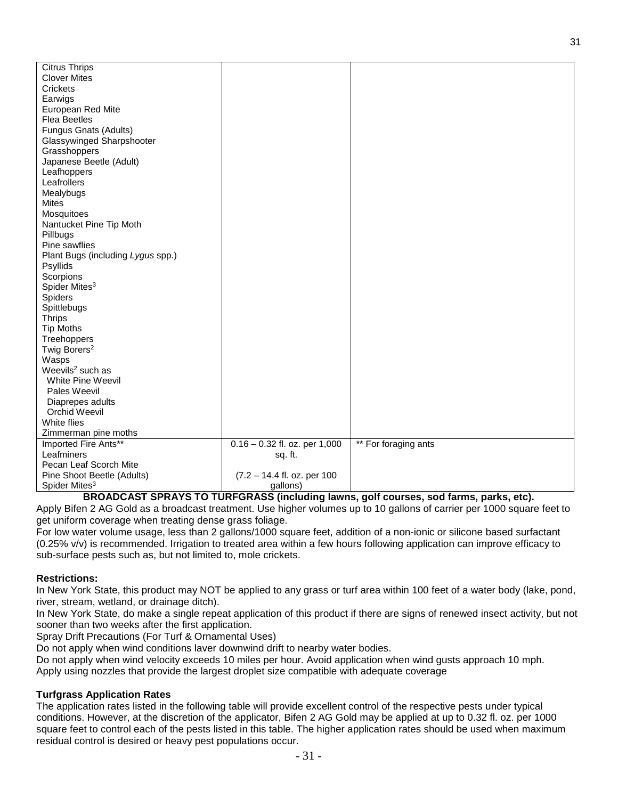| <b>Citrus Thrips</b>              |                                 |                      |
|-----------------------------------|---------------------------------|----------------------|
| <b>Clover Mites</b>               |                                 |                      |
| Crickets                          |                                 |                      |
| Earwigs                           |                                 |                      |
| European Red Mite                 |                                 |                      |
| <b>Flea Beetles</b>               |                                 |                      |
| Fungus Gnats (Adults)             |                                 |                      |
| Glassywinged Sharpshooter         |                                 |                      |
| Grasshoppers                      |                                 |                      |
| Japanese Beetle (Adult)           |                                 |                      |
| Leafhoppers                       |                                 |                      |
| Leafrollers                       |                                 |                      |
| Mealybugs                         |                                 |                      |
| <b>Mites</b>                      |                                 |                      |
| Mosquitoes                        |                                 |                      |
| Nantucket Pine Tip Moth           |                                 |                      |
| Pillbugs                          |                                 |                      |
| Pine sawflies                     |                                 |                      |
| Plant Bugs (including Lygus spp.) |                                 |                      |
| Psyllids                          |                                 |                      |
| Scorpions                         |                                 |                      |
| Spider Mites <sup>3</sup>         |                                 |                      |
| Spiders                           |                                 |                      |
| Spittlebugs                       |                                 |                      |
| <b>Thrips</b>                     |                                 |                      |
| <b>Tip Moths</b>                  |                                 |                      |
| Treehoppers                       |                                 |                      |
| Twig Borers <sup>2</sup>          |                                 |                      |
| Wasps                             |                                 |                      |
| Weevils <sup>2</sup> such as      |                                 |                      |
| White Pine Weevil                 |                                 |                      |
| Pales Weevil                      |                                 |                      |
| Diaprepes adults                  |                                 |                      |
| Orchid Weevil                     |                                 |                      |
| White flies                       |                                 |                      |
| Zimmerman pine moths              |                                 |                      |
| Imported Fire Ants**              | $0.16 - 0.32$ fl. oz. per 1,000 | ** For foraging ants |
| Leafminers                        | sq. ft.                         |                      |
| Pecan Leaf Scorch Mite            |                                 |                      |
| Pine Shoot Beetle (Adults)        | (7.2 - 14.4 fl. oz. per 100     |                      |
| Spider Mites <sup>3</sup>         | gallons)                        |                      |

**BROADCAST SPRAYS TO TURFGRASS (including lawns, golf courses, sod farms, parks, etc).**

Apply Bifen 2 AG Gold as a broadcast treatment. Use higher volumes up to 10 gallons of carrier per 1000 square feet to get uniform coverage when treating dense grass foliage.

For low water volume usage, less than 2 gallons/1000 square feet, addition of a non-ionic or silicone based surfactant (0.25% v/v) is recommended. Irrigation to treated area within a few hours following application can improve efficacy to sub-surface pests such as, but not limited to, mole crickets.

## **Restrictions:**

In New York State, this product may NOT be applied to any grass or turf area within 100 feet of a water body (lake, pond, river, stream, wetland, or drainage ditch).

In New York State, do make a single repeat application of this product if there are signs of renewed insect activity, but not sooner than two weeks after the first application.

Spray Drift Precautions (For Turf & Ornamental Uses)

Do not apply when wind conditions laver downwind drift to nearby water bodies.

Do not apply when wind velocity exceeds 10 miles per hour. Avoid application when wind gusts approach 10 mph.

Apply using nozzles that provide the largest droplet size compatible with adequate coverage

## **Turfgrass Application Rates**

The application rates listed in the following table will provide excellent control of the respective pests under typical conditions. However, at the discretion of the applicator, Bifen 2 AG Gold may be applied at up to 0.32 fl. oz. per 1000 square feet to control each of the pests listed in this table. The higher application rates should be used when maximum residual control is desired or heavy pest populations occur.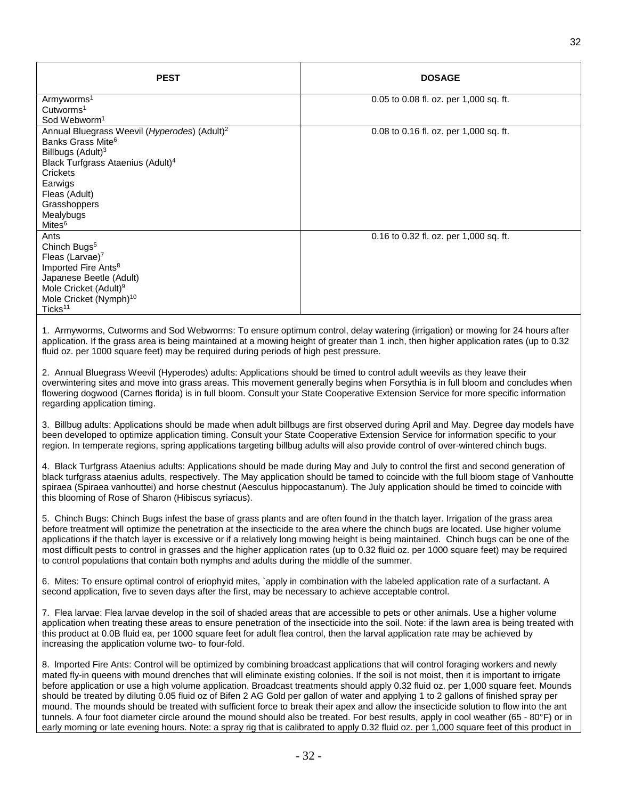| <b>PEST</b>                                              | <b>DOSAGE</b>                          |
|----------------------------------------------------------|----------------------------------------|
| Armyworms <sup>1</sup>                                   | 0.05 to 0.08 fl. oz. per 1,000 sq. ft. |
| Cutworm <sup>1</sup>                                     |                                        |
| Sod Webworm <sup>1</sup>                                 |                                        |
| Annual Bluegrass Weevil (Hyperodes) (Adult) <sup>2</sup> | 0.08 to 0.16 fl. oz. per 1,000 sq. ft. |
| Banks Grass Mite <sup>6</sup>                            |                                        |
| Billbugs (Adult) <sup>3</sup>                            |                                        |
| Black Turfgrass Ataenius (Adult) <sup>4</sup>            |                                        |
| Crickets                                                 |                                        |
| Earwigs                                                  |                                        |
| Fleas (Adult)                                            |                                        |
| Grasshoppers                                             |                                        |
| Mealybugs                                                |                                        |
| Mites <sup>6</sup>                                       |                                        |
| Ants                                                     | 0.16 to 0.32 fl. oz. per 1,000 sq. ft. |
| Chinch Bugs <sup>5</sup>                                 |                                        |
| Fleas (Larvae) <sup>7</sup>                              |                                        |
| Imported Fire Ants <sup>8</sup>                          |                                        |
| Japanese Beetle (Adult)                                  |                                        |
| Mole Cricket (Adult) <sup>9</sup>                        |                                        |
| Mole Cricket (Nymph) <sup>10</sup>                       |                                        |
| Ticks <sup>11</sup>                                      |                                        |

1. Armyworms, Cutworms and Sod Webworms: To ensure optimum control, delay watering (irrigation) or mowing for 24 hours after application. If the grass area is being maintained at a mowing height of greater than 1 inch, then higher application rates (up to 0.32 fluid oz. per 1000 square feet) may be required during periods of high pest pressure.

2. Annual Bluegrass Weevil (Hyperodes) adults: Applications should be timed to control adult weevils as they leave their overwintering sites and move into grass areas. This movement generally begins when Forsythia is in full bloom and concludes when flowering dogwood (Carnes florida) is in full bloom. Consult your State Cooperative Extension Service for more specific information regarding application timing.

3. Billbug adults: Applications should be made when adult billbugs are first observed during April and May. Degree day models have been developed to optimize application timing. Consult your State Cooperative Extension Service for information specific to your region. In temperate regions, spring applications targeting billbug adults will also provide control of over-wintered chinch bugs.

4. Black Turfgrass Ataenius adults: Applications should be made during May and July to control the first and second generation of black turfgrass ataenius adults, respectively. The May application should be tamed to coincide with the full bloom stage of Vanhoutte spiraea (Spiraea vanhouttei) and horse chestnut (Aesculus hippocastanum). The July application should be timed to coincide with this blooming of Rose of Sharon (Hibiscus syriacus).

5. Chinch Bugs: Chinch Bugs infest the base of grass plants and are often found in the thatch layer. Irrigation of the grass area before treatment will optimize the penetration at the insecticide to the area where the chinch bugs are located. Use higher volume applications if the thatch layer is excessive or if a relatively long mowing height is being maintained. Chinch bugs can be one of the most difficult pests to control in grasses and the higher application rates (up to 0.32 fluid oz. per 1000 square feet) may be required to control populations that contain both nymphs and adults during the middle of the summer.

6. Mites: To ensure optimal control of eriophyid mites, `apply in combination with the labeled application rate of a surfactant. A second application, five to seven days after the first, may be necessary to achieve acceptable control.

7. Flea larvae: Flea larvae develop in the soil of shaded areas that are accessible to pets or other animals. Use a higher volume application when treating these areas to ensure penetration of the insecticide into the soil. Note: if the lawn area is being treated with this product at 0.0B fluid ea, per 1000 square feet for adult flea control, then the larval application rate may be achieved by increasing the application volume two- to four-fold.

8. lmported Fire Ants: Control will be optimized by combining broadcast applications that will control foraging workers and newly mated fly-in queens with mound drenches that will eliminate existing colonies. If the soil is not moist, then it is important to irrigate before application or use a high volume application. Broadcast treatments should apply 0.32 fluid oz. per 1,000 square feet. Mounds should be treated by diluting 0.05 fluid oz of Bifen 2 AG Gold per gallon of water and applying 1 to 2 gallons of finished spray per mound. The mounds should be treated with sufficient force to break their apex and allow the insecticide solution to flow into the ant tunnels. A four foot diameter circle around the mound should also be treated. For best results, apply in cool weather (65 - 80°F) or in early morning or late evening hours. Note: a spray rig that is calibrated to apply 0.32 fluid oz. per 1,000 square feet of this product in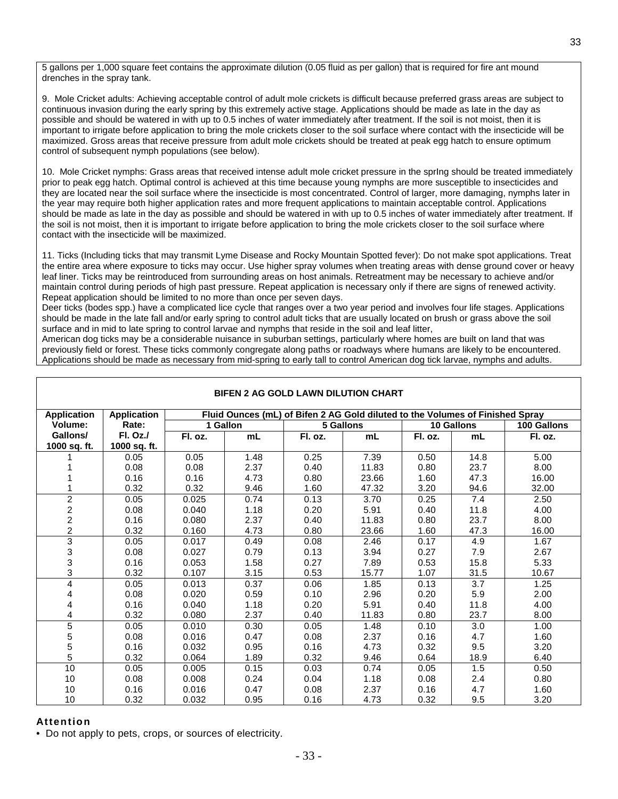5 gallons per 1,000 square feet contains the approximate dilution (0.05 fluid as per gallon) that is required for fire ant mound drenches in the spray tank.

9. Mole Cricket adults: Achieving acceptable control of adult mole crickets is difficult because preferred grass areas are subject to continuous invasion during the early spring by this extremely active stage. Applications should be made as late in the day as possible and should be watered in with up to 0.5 inches of water immediately after treatment. If the soil is not moist, then it is important to irrigate before application to bring the mole crickets closer to the soil surface where contact with the insecticide will be maximized. Gross areas that receive pressure from adult mole crickets should be treated at peak egg hatch to ensure optimum control of subsequent nymph populations (see below).

10. Mole Cricket nymphs: Grass areas that received intense adult mole cricket pressure in the sprIng should be treated immediately prior to peak egg hatch. Optimal control is achieved at this time because young nymphs are more susceptible to insecticides and they are located near the soil surface where the insecticide is most concentrated. Control of larger, more damaging, nymphs later in the year may require both higher application rates and more frequent applications to maintain acceptable control. Applications should be made as late in the day as possible and should be watered in with up to 0.5 inches of water immediately after treatment. If the soil is not moist, then it is important to irrigate before application to bring the mole crickets closer to the soil surface where contact with the insecticide will be maximized.

11. Ticks (Including ticks that may transmit Lyme Disease and Rocky Mountain Spotted fever): Do not make spot applications. Treat the entire area where exposure to ticks may occur. Use higher spray volumes when treating areas with dense ground cover or heavy leaf liner. Ticks may be reintroduced from surrounding areas on host animals. Retreatment may be necessary to achieve and/or maintain control during periods of high past pressure. Repeat application is necessary only if there are signs of renewed activity. Repeat application should be limited to no more than once per seven days.

Deer ticks (bodes spp.) have a complicated lice cycle that ranges over a two year period and involves four life stages. Applications should be made in the late fall and/or early spring to control adult ticks that are usually located on brush or grass above the soil surface and in mid to late spring to control larvae and nymphs that reside in the soil and leaf litter,

American dog ticks may be a considerable nuisance in suburban settings, particularly where homes are built on land that was previously field or forest. These ticks commonly congregate along paths or roadways where humans are likely to be encountered. Applications should be made as necessary from mid-spring to early tall to control American dog tick larvae, nymphs and adults.

| <b>Application</b> | <b>Application</b> |          | Fluid Ounces (mL) of Bifen 2 AG Gold diluted to the Volumes of Finished Spray |           |       |            |      |             |  |
|--------------------|--------------------|----------|-------------------------------------------------------------------------------|-----------|-------|------------|------|-------------|--|
| Volume:            | Rate:              | 1 Gallon |                                                                               | 5 Gallons |       | 10 Gallons |      | 100 Gallons |  |
| Gallons/           | <b>FI. Oz./</b>    | Fl. oz.  | mL                                                                            | Fl. oz.   | mL    | Fl. oz.    | mL   | Fl. oz.     |  |
| 1000 sq. ft.       | 1000 sq. ft.       |          |                                                                               |           |       |            |      |             |  |
|                    | 0.05               | 0.05     | 1.48                                                                          | 0.25      | 7.39  | 0.50       | 14.8 | 5.00        |  |
|                    | 0.08               | 0.08     | 2.37                                                                          | 0.40      | 11.83 | 0.80       | 23.7 | 8.00        |  |
|                    | 0.16               | 0.16     | 4.73                                                                          | 0.80      | 23.66 | 1.60       | 47.3 | 16.00       |  |
|                    | 0.32               | 0.32     | 9.46                                                                          | 1.60      | 47.32 | 3.20       | 94.6 | 32.00       |  |
| $\overline{2}$     | 0.05               | 0.025    | 0.74                                                                          | 0.13      | 3.70  | 0.25       | 7.4  | 2.50        |  |
| $\boldsymbol{2}$   | 0.08               | 0.040    | 1.18                                                                          | 0.20      | 5.91  | 0.40       | 11.8 | 4.00        |  |
| $\overline{c}$     | 0.16               | 0.080    | 2.37                                                                          | 0.40      | 11.83 | 0.80       | 23.7 | 8.00        |  |
| $\overline{c}$     | 0.32               | 0.160    | 4.73                                                                          | 0.80      | 23.66 | 1.60       | 47.3 | 16.00       |  |
| $\overline{3}$     | 0.05               | 0.017    | 0.49                                                                          | 0.08      | 2.46  | 0.17       | 4.9  | 1.67        |  |
| 3                  | 0.08               | 0.027    | 0.79                                                                          | 0.13      | 3.94  | 0.27       | 7.9  | 2.67        |  |
| $\mathsf 3$        | 0.16               | 0.053    | 1.58                                                                          | 0.27      | 7.89  | 0.53       | 15.8 | 5.33        |  |
| 3                  | 0.32               | 0.107    | 3.15                                                                          | 0.53      | 15.77 | 1.07       | 31.5 | 10.67       |  |
| 4                  | 0.05               | 0.013    | 0.37                                                                          | 0.06      | 1.85  | 0.13       | 3.7  | 1.25        |  |
| 4                  | 0.08               | 0.020    | 0.59                                                                          | 0.10      | 2.96  | 0.20       | 5.9  | 2.00        |  |
| 4                  | 0.16               | 0.040    | 1.18                                                                          | 0.20      | 5.91  | 0.40       | 11.8 | 4.00        |  |
| 4                  | 0.32               | 0.080    | 2.37                                                                          | 0.40      | 11.83 | 0.80       | 23.7 | 8.00        |  |
| 5                  | 0.05               | 0.010    | 0.30                                                                          | 0.05      | 1.48  | 0.10       | 3.0  | 1.00        |  |
| 5                  | 0.08               | 0.016    | 0.47                                                                          | 0.08      | 2.37  | 0.16       | 4.7  | 1.60        |  |
| 5                  | 0.16               | 0.032    | 0.95                                                                          | 0.16      | 4.73  | 0.32       | 9.5  | 3.20        |  |
| 5                  | 0.32               | 0.064    | 1.89                                                                          | 0.32      | 9.46  | 0.64       | 18.9 | 6.40        |  |
| $\overline{10}$    | 0.05               | 0.005    | 0.15                                                                          | 0.03      | 0.74  | 0.05       | 1.5  | 0.50        |  |
| 10                 | 0.08               | 0.008    | 0.24                                                                          | 0.04      | 1.18  | 0.08       | 2.4  | 0.80        |  |
| 10                 | 0.16               | 0.016    | 0.47                                                                          | 0.08      | 2.37  | 0.16       | 4.7  | 1.60        |  |
| 10                 | 0.32               | 0.032    | 0.95                                                                          | 0.16      | 4.73  | 0.32       | 9.5  | 3.20        |  |

## **BIFEN 2 AG GOLD LAWN DILUTION CHART**

#### **Attention**

• Do not apply to pets, crops, or sources of electricity.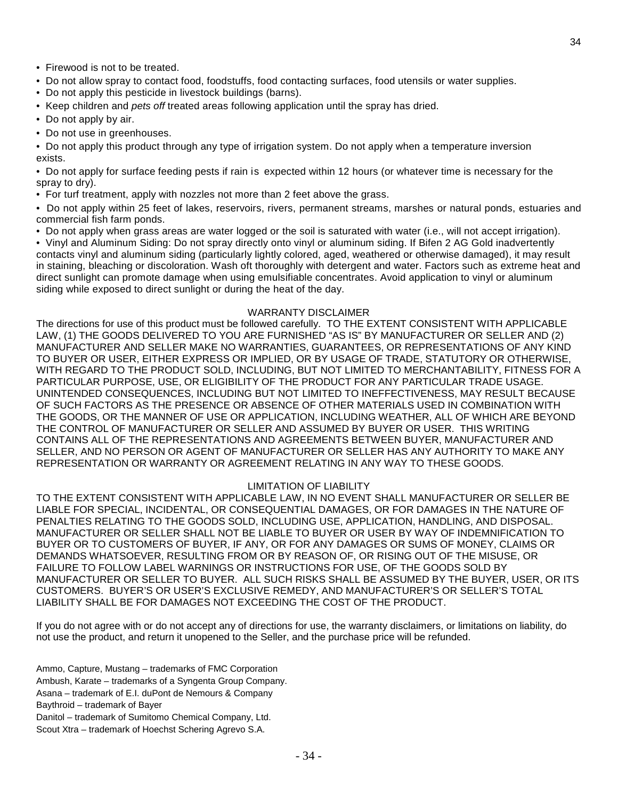- Firewood is not to be treated.
- Do not allow spray to contact food, foodstuffs, food contacting surfaces, food utensils or water supplies.
- Do not apply this pesticide in livestock buildings (barns).
- Keep children and *pets off* treated areas following application until the spray has dried.
- Do not apply by air.
- Do not use in greenhouses.

• Do not apply this product through any type of irrigation system. Do not apply when a temperature inversion exists.

• Do not apply for surface feeding pests if rain is expected within 12 hours (or whatever time is necessary for the spray to dry).

• For turf treatment, apply with nozzles not more than 2 feet above the grass.

• Do not apply within 25 feet of lakes, reservoirs, rivers, permanent streams, marshes or natural ponds, estuaries and commercial fish farm ponds.

• Do not apply when grass areas are water logged or the soil is saturated with water (i.e., will not accept irrigation).

• Vinyl and Aluminum Siding: Do not spray directly onto vinyl or aluminum siding. If Bifen 2 AG Gold inadvertently contacts vinyl and aluminum siding (particularly lightly colored, aged, weathered or otherwise damaged), it may result in staining, bleaching or discoloration. Wash oft thoroughly with detergent and water. Factors such as extreme heat and direct sunlight can promote damage when using emulsifiable concentrates. Avoid application to vinyl or aluminum siding while exposed to direct sunlight or during the heat of the day.

#### WARRANTY DISCLAIMER

The directions for use of this product must be followed carefully. TO THE EXTENT CONSISTENT WITH APPLICABLE LAW, (1) THE GOODS DELIVERED TO YOU ARE FURNISHED "AS IS" BY MANUFACTURER OR SELLER AND (2) MANUFACTURER AND SELLER MAKE NO WARRANTIES, GUARANTEES, OR REPRESENTATIONS OF ANY KIND TO BUYER OR USER, EITHER EXPRESS OR IMPLIED, OR BY USAGE OF TRADE, STATUTORY OR OTHERWISE, WITH REGARD TO THE PRODUCT SOLD, INCLUDING, BUT NOT LIMITED TO MERCHANTABILITY, FITNESS FOR A PARTICULAR PURPOSE, USE, OR ELIGIBILITY OF THE PRODUCT FOR ANY PARTICULAR TRADE USAGE. UNINTENDED CONSEQUENCES, INCLUDING BUT NOT LIMITED TO INEFFECTIVENESS, MAY RESULT BECAUSE OF SUCH FACTORS AS THE PRESENCE OR ABSENCE OF OTHER MATERIALS USED IN COMBINATION WITH THE GOODS, OR THE MANNER OF USE OR APPLICATION, INCLUDING WEATHER, ALL OF WHICH ARE BEYOND THE CONTROL OF MANUFACTURER OR SELLER AND ASSUMED BY BUYER OR USER. THIS WRITING CONTAINS ALL OF THE REPRESENTATIONS AND AGREEMENTS BETWEEN BUYER, MANUFACTURER AND SELLER, AND NO PERSON OR AGENT OF MANUFACTURER OR SELLER HAS ANY AUTHORITY TO MAKE ANY REPRESENTATION OR WARRANTY OR AGREEMENT RELATING IN ANY WAY TO THESE GOODS.

#### LIMITATION OF LIABILITY

TO THE EXTENT CONSISTENT WITH APPLICABLE LAW, IN NO EVENT SHALL MANUFACTURER OR SELLER BE LIABLE FOR SPECIAL, INCIDENTAL, OR CONSEQUENTIAL DAMAGES, OR FOR DAMAGES IN THE NATURE OF PENALTIES RELATING TO THE GOODS SOLD, INCLUDING USE, APPLICATION, HANDLING, AND DISPOSAL. MANUFACTURER OR SELLER SHALL NOT BE LIABLE TO BUYER OR USER BY WAY OF INDEMNIFICATION TO BUYER OR TO CUSTOMERS OF BUYER, IF ANY, OR FOR ANY DAMAGES OR SUMS OF MONEY, CLAIMS OR DEMANDS WHATSOEVER, RESULTING FROM OR BY REASON OF, OR RISING OUT OF THE MISUSE, OR FAILURE TO FOLLOW LABEL WARNINGS OR INSTRUCTIONS FOR USE, OF THE GOODS SOLD BY MANUFACTURER OR SELLER TO BUYER. ALL SUCH RISKS SHALL BE ASSUMED BY THE BUYER, USER, OR ITS CUSTOMERS. BUYER'S OR USER'S EXCLUSIVE REMEDY, AND MANUFACTURER'S OR SELLER'S TOTAL LIABILITY SHALL BE FOR DAMAGES NOT EXCEEDING THE COST OF THE PRODUCT.

If you do not agree with or do not accept any of directions for use, the warranty disclaimers, or limitations on liability, do not use the product, and return it unopened to the Seller, and the purchase price will be refunded.

Ammo, Capture, Mustang – trademarks of FMC Corporation Ambush, Karate – trademarks of a Syngenta Group Company. Asana – trademark of E.I. duPont de Nemours & Company Baythroid – trademark of Bayer Danitol – trademark of Sumitomo Chemical Company, Ltd. Scout Xtra – trademark of Hoechst Schering Agrevo S.A.